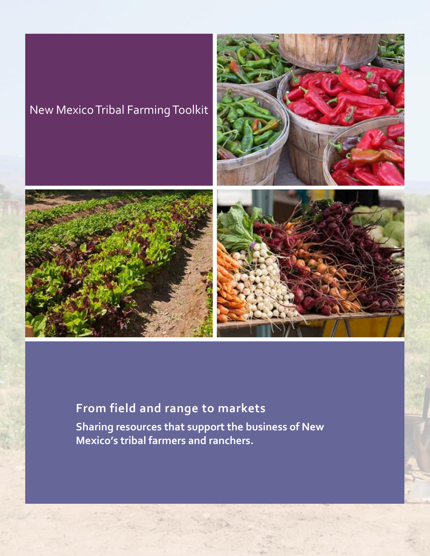# New Mexico Tribal Farming Toolkit



**Sharing resources that support the business of New Mexico's tribal farmers and ranchers.**



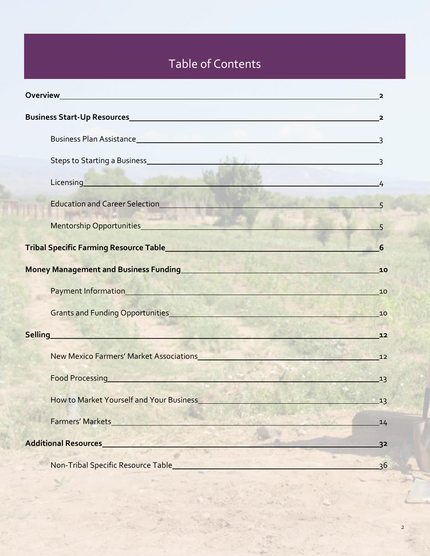# Table of Contents

|                                                                                                                                                                                                                                      | $\mathbf{2}$   |
|--------------------------------------------------------------------------------------------------------------------------------------------------------------------------------------------------------------------------------------|----------------|
|                                                                                                                                                                                                                                      |                |
| Business Plan Assistance 33                                                                                                                                                                                                          |                |
|                                                                                                                                                                                                                                      |                |
| Licensing <b>Exercise Service Service Service Service Service Service Service Service Service Service Service Service</b>                                                                                                            | $\sim$ 4       |
| Education and Career Selection<br><u>Education</u> and Career Selection                                                                                                                                                              |                |
| Mentorship Opportunities <b>Mentorship Opportunities</b> and the second second second second second second second second second second second second second second second second second second second second second second second s  |                |
| <b>Tribal Specific Farming Resource Table_ Tribal Specific Farming Resource Table_</b>                                                                                                                                               | 6              |
|                                                                                                                                                                                                                                      | 10             |
|                                                                                                                                                                                                                                      | 10             |
|                                                                                                                                                                                                                                      | 10             |
| <b>Selling Selling Selling Selling Selling</b>                                                                                                                                                                                       | $12$           |
| <b>New Mexico Farmers' Market Associations</b>                                                                                                                                                                                       | 12             |
| Food Processing <b>Exercise Service Service Service Service Service Service Service Service Service Service Service Service Service Service Service Service Service Service Service Service Service Service Service Service Serv</b> | 13             |
| How to Market Yourself and Your Business                                                                                                                                                                                             | 13             |
| <b>Farmers' Markets</b>                                                                                                                                                                                                              | 14             |
| <b>Additional Resources</b>                                                                                                                                                                                                          | 3 <sup>2</sup> |
| Non-Tribal Specific Resource Table                                                                                                                                                                                                   | 36             |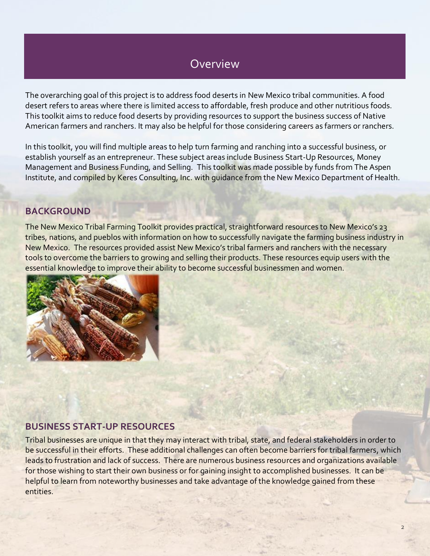# Overview

The overarching goal of this project is to address food deserts in New Mexico tribal communities. A food desert refers to areas where there is limited access to affordable, fresh produce and other nutritious foods. This toolkit aims to reduce food deserts by providing resources to support the business success of Native American farmers and ranchers. It may also be helpful for those considering careers as farmers or ranchers.

In this toolkit, you will find multiple areas to help turn farming and ranching into a successful business, or establish yourself as an entrepreneur. These subject areas include Business Start-Up Resources, Money Management and Business Funding, and Selling. This toolkit was made possible by funds from The Aspen Institute, and compiled by Keres Consulting, Inc. with guidance from the New Mexico Department of Health.

# **BACKGROUND**

The New Mexico Tribal Farming Toolkit provides practical, straightforward resources to New Mexico's 23 tribes, nations, and pueblos with information on how to successfully navigate the farming business industry in New Mexico. The resources provided assist New Mexico's tribal farmers and ranchers with the necessary tools to overcome the barriers to growing and selling their products. These resources equip users with the essential knowledge to improve their ability to become successful businessmen and women.



# **BUSINESS START-UP RESOURCES**

Tribal businesses are unique in that they may interact with tribal, state, and federal stakeholders in order to be successful in their efforts. These additional challenges can often become barriers for tribal farmers, which leads to frustration and lack of success. There are numerous business resources and organizations available for those wishing to start their own business or for gaining insight to accomplished businesses. It can be helpful to learn from noteworthy businesses and take advantage of the knowledge gained from these entities.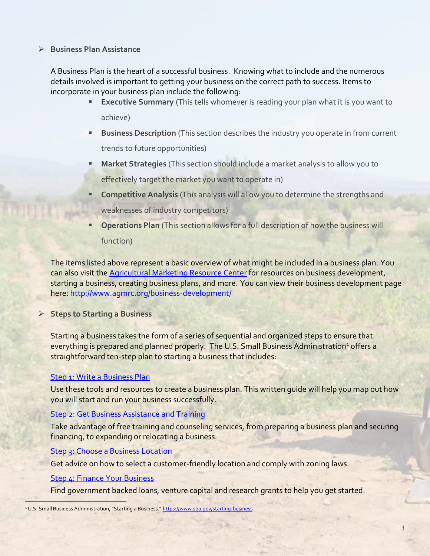#### ➢ **Business Plan Assistance**

A Business Plan is the heart of a successful business. Knowing what to include and the numerous details involved is important to getting your business on the correct path to success. Items to incorporate in your business plan include the following:

- **Executive Summary** (This tells whomever is reading your plan what it is you want to achieve)
- **Business Description** (This section describes the industry you operate in from current trends to future opportunities)
- **Market Strategies** (This section should include a market analysis to allow you to effectively target the market you want to operate in)
- **Competitive Analysis (This analysis will allow you to determine the strengths and** weaknesses of industry competitors)
- **Operations Plan** (This section allows for a full description of how the business will function)

The items listed above represent a basic overview of what might be included in a business plan. You can also visit th[e Agricultural Marketing Resource Center](http://www.agmrc.org/) for resources on business development, starting a business, creating business plans, and more. You can view their business development page here:<http://www.agmrc.org/business-development/>

➢ **Steps to Starting a Business**

Starting a business takes the form of a series of sequential and organized steps to ensure that everything is prepared and planned properly. The U.S. Small Business Administration<sup>1</sup> offers a straightforward ten-step plan to starting a business that includes:

### [Step 1: Write a Business Plan](https://www.sba.gov/starting-business/write-your-business-plan)

Use these tools and resources to create a business plan. This written guide will help you map out how you will start and run your business successfully.

### **[Step 2: Get Business Assistance and Training](https://www.sba.gov/category/navigation-structure/counseling-training)**

Take advantage of free training and counseling services, from preparing a business plan and securing financing, to expanding or relocating a business.

[Step 3: Choose a Business Location](https://www.sba.gov/content/tips-choosing-business-location)

Get advice on how to select a customer-friendly location and comply with zoning laws.

### [Step 4: Finance Your Business](https://www.sba.gov/category/navigation-structure/loans-grants/small-business-loans/sba-loan-programs)

 $\overline{\phantom{a}}$ 

Find government backed loans, venture capital and research grants to help you get started.

<sup>&</sup>lt;sup>1</sup> U.S. Small Business Administration, "Starting a Business." <https://www.sba.gov/starting-business>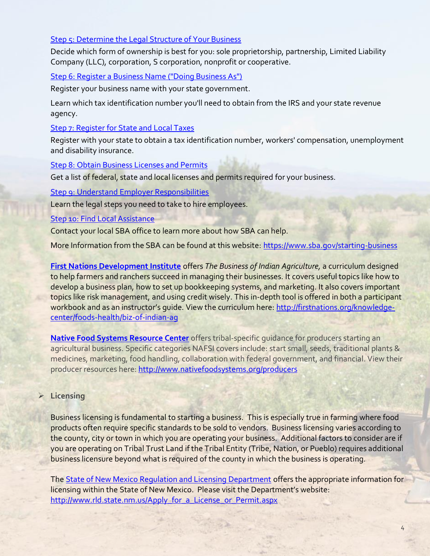### [Step 5: Determine the Legal Structure of Your Business](https://www.sba.gov/content/business-structure-and-tax-implications)

Decide which form of ownership is best for you: sole proprietorship, partnership, Limited Liability Company (LLC), corporation, S corporation, nonprofit or cooperative.

# [Step 6: Register a Business Name \("Doing Business As"\)](https://www.sba.gov/content/register-your-fictitious-or-doing-business-dba-name)

Register your business name with your state government.

Learn which tax identification number you'll need to obtain from the IRS and your state revenue agency.

### [Step 7: Register for State and Local Taxes](https://www.sba.gov/content/learn-about-your-state-and-local-tax-obligations)

Register with your state to obtain a tax identification number, workers' compensation, unemployment and disability insurance.

### [Step 8: Obtain Business Licenses and Permits](https://www.sba.gov/content/obtaining-business-licenses-permits)

Get a list of federal, state and local licenses and permits required for your business.

# [Step 9: Understand Employer Responsibilities](https://www.sba.gov/content/10-steps-hiring-your-first-employee)

Learn the legal steps you need to take to hire employees.

# [Step 10: Find Local Assistance](https://www.sba.gov/tools/local-assistance/districtoffices)

Contact your local SBA office to learn more about how SBA can help.

More Information from the SBA can be found at this website:<https://www.sba.gov/starting-business>

**[First Nations Development Institute](http://www.firstnations.org/)** offers *The Business of Indian Agriculture,* a curriculum designed to help farmers and ranchers succeed in managing their businesses. It covers useful topics like how to develop a business plan, how to set up bookkeeping systems, and marketing. It also covers important topics like risk management, and using credit wisely. This in-depth tool is offered in both a participant workbook and as an instructor's guide. View the curriculum here: [http://firstnations.org/knowledge](http://firstnations.org/knowledge-center/foods-health/biz-of-indian-ag)[center/foods-health/biz-of-indian-ag](http://firstnations.org/knowledge-center/foods-health/biz-of-indian-ag)

**[Native Food Systems Resource Center](http://www.nativefoodsystems.org/)** offers tribal-specific guidance for producers starting an agricultural business. Specific categories NAFSI covers include: start small, seeds, traditional plants & medicines, marketing, food handling, collaboration with federal government, and financial. View their producer resources here:<http://www.nativefoodsystems.org/producers>

# ➢ **Licensing**

Business licensing is fundamental to starting a business. This is especially true in farming where food products often require specific standards to be sold to vendors. Business licensing varies according to the county, city or town in which you are operating your business. Additional factors to consider are if you are operating on Tribal Trust Land if the Tribal Entity (Tribe, Nation, or Pueblo) requires additional business licensure beyond what is required of the county in which the business is operating.

Th[e State of New Mexico Regulation and Licensing Department](http://www.rld.state.nm.us/Apply_for_a_License_or_Permit.aspx) offers the appropriate information for licensing within the State of New Mexico. Please visit the Department's website: [http://www.rld.state.nm.us/Apply\\_for\\_a\\_License\\_or\\_Permit.aspx](http://www.rld.state.nm.us/Apply_for_a_License_or_Permit.aspx)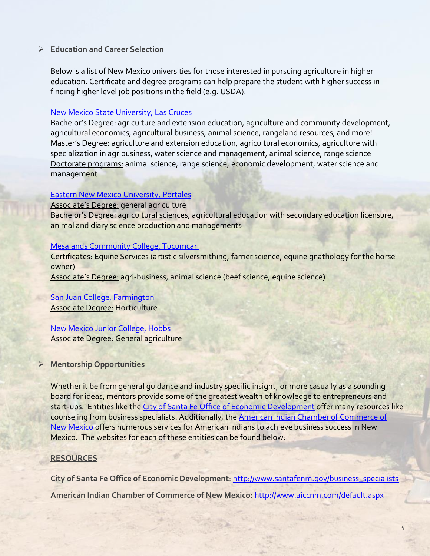#### ➢ **Education and Career Selection**

Below is a list of New Mexico universities for those interested in pursuing agriculture in higher education. Certificate and degree programs can help prepare the student with higher success in finding higher level job positions in the field (e.g. USDA).

#### [New Mexico State University, Las Cruces](http://aces.nmsu.edu/)

Bachelor's Degree: agriculture and extension education, agriculture and community development, agricultural economics, agricultural business, animal science, rangeland resources, and more! Master's Degree: agriculture and extension education, agricultural economics, agriculture with specialization in agribusiness, water science and management, animal science, range science Doctorate programs: animal science, range science, economic development, water science and management

#### [Eastern New Mexico University, Portales](http://www.enmu.edu/department-of-family-and-consumer-sciences-and-agriculture)

Associate's Degree: general agriculture

Bachelor's Degree: agricultural sciences, agricultural education with secondary education licensure, animal and diary science production and managements

#### [Mesalands Community College, Tucumcari](http://www.mesalands.edu/)

Certificates: Equine Services (artistic silversmithing, farrier science, equine gnathology for the horse owner)

Associate's Degree: agri-business, animal science (beef science, equine science)

# [San Juan College, Farmington](http://www.sanjuancollege.edu/school-of-science-math-and-engineering/programs/horticulture/)

Associate Degree: Horticulture

#### [New Mexico Junior College, Hobbs](http://www.nmjc.edu/academics/coursedescriptions.asp?action=AG)

Associate Degree: General agriculture

# ➢ **Mentorship Opportunities**

Whether it be from general guidance and industry specific insight, or more casually as a sounding board for ideas, mentors provide some of the greatest wealth of knowledge to entrepreneurs and start-ups. Entities like the [City of Santa Fe Office of Economic Development](http://www.santafenm.gov/business_specialists) offer many resources like counseling from business specialists. Additionally, the [American Indian Chamber of Commerce of](http://www.aiccnm.com/default.aspx)  [New Mexico](http://www.aiccnm.com/default.aspx) offers numerous services for American Indians to achieve business success in New Mexico. The websites for each of these entities can be found below:

### **RESOURCES**

**City of Santa Fe Office of Economic Development**[: http://www.santafenm.gov/business\\_specialists](http://www.santafenm.gov/business_specialists)

**American Indian Chamber of Commerce of New Mexico**[: http://www.aiccnm.com/default.aspx](http://www.aiccnm.com/default.aspx)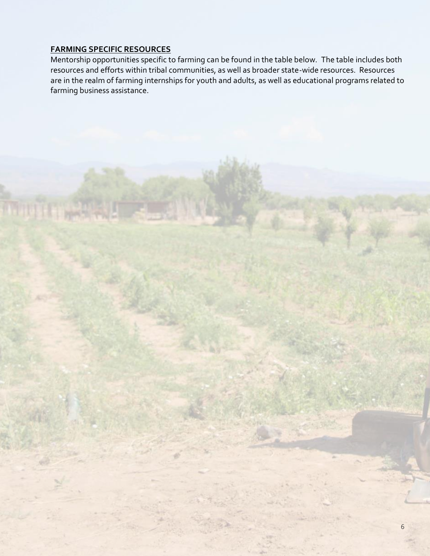### **FARMING SPECIFIC RESOURCES**

Mentorship opportunities specific to farming can be found in the table below. The table includes both resources and efforts within tribal communities, as well as broader state-wide resources. Resources are in the realm of farming internships for youth and adults, as well as educational programs related to farming business assistance.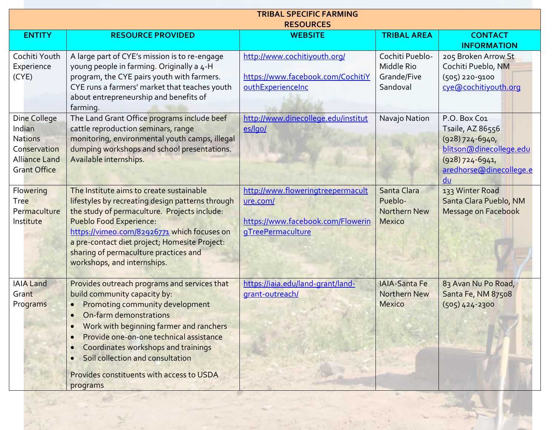| <b>TRIBAL SPECIFIC FARMING</b><br><b>RESOURCES</b>                                                      |                                                                                                                                                                                                                                                                                                                                                                                                            |                                                                                                         |                                                                |                                                                                                                                        |
|---------------------------------------------------------------------------------------------------------|------------------------------------------------------------------------------------------------------------------------------------------------------------------------------------------------------------------------------------------------------------------------------------------------------------------------------------------------------------------------------------------------------------|---------------------------------------------------------------------------------------------------------|----------------------------------------------------------------|----------------------------------------------------------------------------------------------------------------------------------------|
| <b>ENTITY</b>                                                                                           | <b>RESOURCE PROVIDED</b>                                                                                                                                                                                                                                                                                                                                                                                   | <b>WEBSITE</b>                                                                                          | <b>TRIBAL AREA</b>                                             | <b>CONTACT</b><br><b>INFORMATION</b>                                                                                                   |
| Cochiti Youth<br>Experience<br>(CYE)                                                                    | A large part of CYE's mission is to re-engage<br>young people in farming. Originally a 4-H<br>program, the CYE pairs youth with farmers.<br>CYE runs a farmers' market that teaches youth<br>about entrepreneurship and benefits of<br>farming.                                                                                                                                                            | http://www.cochitiyouth.org/<br>https://www.facebook.com/CochitiY<br>outhExperienceInc                  | Cochiti Pueblo-<br>Middle Rio<br>Grande/Five<br>Sandoval       | 205 Broken Arrow St<br>Cochiti Pueblo, NM<br>$(505)$ 220-9100<br>cye@cochitiyouth.org                                                  |
| Dine College<br>Indian<br><b>Nations</b><br>Conservation<br><b>Alliance Land</b><br><b>Grant Office</b> | The Land Grant Office programs include beef<br>cattle reproduction seminars, range<br>monitoring, environmental youth camps, illegal<br>dumping workshops and school presentations.<br>Available internships.                                                                                                                                                                                              | http://www.dinecollege.edu/institut<br>es/lgo/                                                          | Navajo Nation                                                  | P.O. Box Co1<br>Tsaile, AZ 86556<br>$(928)$ 724-6940,<br>blitson@dinecollege.edu<br>$(928)$ 724-6941,<br>aredhorse@dinecollege.e<br>du |
| Flowering<br>Tree<br>Permaculture<br>Institute                                                          | The Institute aims to create sustainable<br>lifestyles by recreating design patterns through<br>the study of permaculture. Projects include:<br><b>Pueblo Food Experience:</b><br>https://vimeo.com/82926771 which focuses on<br>a pre-contact diet project; Homesite Project:<br>sharing of permaculture practices and<br>workshops, and internships.                                                     | http://www.floweringtreepermacult<br>ure.com/<br>https://www.facebook.com/Flowerin<br>gTreePermaculture | Santa Clara<br>Pueblo-<br><b>Northern New</b><br><b>Mexico</b> | 133 Winter Road<br>Santa Clara Pueblo, NM<br>Message on Facebook                                                                       |
| <b>IAIA Land</b><br>Grant<br>Programs                                                                   | Provides outreach programs and services that<br>build community capacity by:<br>Promoting community development<br>On-farm demonstrations<br>$\bullet$<br>Work with beginning farmer and ranchers<br>$\bullet$<br>Provide one-on-one technical assistance<br>Coordinates workshops and trainings<br>$\bullet$<br>Soil collection and consultation<br>Provides constituents with access to USDA<br>programs | https://iaia.edu/land-grant/land-<br>grant-outreach/                                                    | <b>IAIA-Santa Fe</b><br><b>Northern New</b><br><b>Mexico</b>   | 83 Avan Nu Po Road,<br>Santa Fe, NM 87508<br>$(505)$ 424-2300                                                                          |

A Company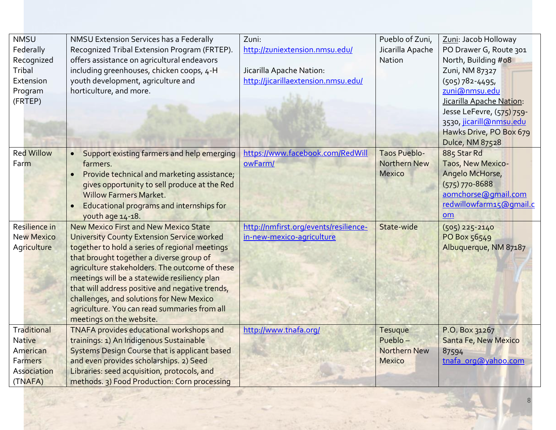| <b>NMSU</b><br>Federally<br>Recognized<br>Tribal<br>Extension<br>Program<br>(FRTEP) | NMSU Extension Services has a Federally<br>Recognized Tribal Extension Program (FRTEP).<br>offers assistance on agricultural endeavors<br>including greenhouses, chicken coops, 4-H<br>youth development, agriculture and<br>horticulture, and more.                                                                                                                                                                                                                         | Zuni:<br>http://zuniextension.nmsu.edu/<br>Jicarilla Apache Nation:<br>http://jicarillaextension.nmsu.edu/ | Pueblo of Zuni,<br>Jicarilla Apache<br>Nation               | Zuni: Jacob Holloway<br>PO Drawer G, Route 301<br>North, Building #08<br>Zuni, NM 87327<br>$(505)$ 782-4495,<br>zuni@nmsu.edu<br>Jicarilla Apache Nation:<br>Jesse LeFevre, (575) 759-<br>3530, jicarill@nmsu.edu<br>Hawks Drive, PO Box 679<br><b>Dulce, NM 87528</b> |
|-------------------------------------------------------------------------------------|------------------------------------------------------------------------------------------------------------------------------------------------------------------------------------------------------------------------------------------------------------------------------------------------------------------------------------------------------------------------------------------------------------------------------------------------------------------------------|------------------------------------------------------------------------------------------------------------|-------------------------------------------------------------|------------------------------------------------------------------------------------------------------------------------------------------------------------------------------------------------------------------------------------------------------------------------|
| <b>Red Willow</b><br>Farm                                                           | Support existing farmers and help emerging<br>farmers.<br>Provide technical and marketing assistance;<br>gives opportunity to sell produce at the Red<br><b>Willow Farmers Market.</b><br>Educational programs and internships for<br>youth age 14-18.                                                                                                                                                                                                                       | https://www.facebook.com/RedWill<br>owFarm/                                                                | <b>Taos Pueblo-</b><br><b>Northern New</b><br><b>Mexico</b> | 885 Star Rd<br>Taos, New Mexico-<br>Angelo McHorse,<br>$(575)$ 770-8688<br>aomchorse@gmail.com<br>redwillowfarm15@gmail.c<br><b>om</b>                                                                                                                                 |
| Resilience in<br><b>New Mexico</b><br>Agriculture                                   | <b>New Mexico First and New Mexico State</b><br><b>University County Extension Service worked</b><br>together to hold a series of regional meetings<br>that brought together a diverse group of<br>agriculture stakeholders. The outcome of these<br>meetings will be a statewide resiliency plan<br>that will address positive and negative trends,<br>challenges, and solutions for New Mexico<br>agriculture. You can read summaries from all<br>meetings on the website. | http://nmfirst.org/events/resilience-<br>in-new-mexico-agriculture                                         | State-wide                                                  | $(505)$ 225-2140<br>PO Box 56549<br>Albuquerque, NM 87187                                                                                                                                                                                                              |
| Traditional<br><b>Native</b><br>American<br>Farmers<br>Association<br>(TNAFA)       | TNAFA provides educational workshops and<br>trainings: 1) An Indigenous Sustainable<br><b>Systems Design Course that is applicant based</b><br>and even provides scholarships. 2) Seed<br>Libraries: seed acquisition, protocols, and<br>methods. 3) Food Production: Corn processing                                                                                                                                                                                        | http://www.tnafa.org/                                                                                      | Tesuque<br>Pueblo-<br><b>Northern New</b><br><b>Mexico</b>  | P.O. Box 31267<br>Santa Fe, New Mexico<br>87594<br>tnafa org@yahoo.com                                                                                                                                                                                                 |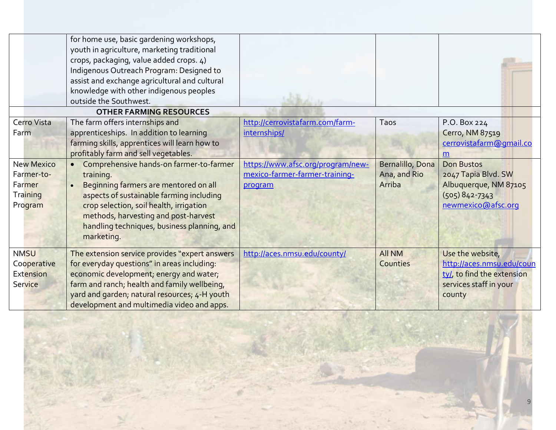|                   | for home use, basic gardening workshops,<br>youth in agriculture, marketing traditional<br>crops, packaging, value added crops. 4)<br>Indigenous Outreach Program: Designed to<br>assist and exchange agricultural and cultural<br>knowledge with other indigenous peoples<br>outside the Southwest. |                                   |                  |                            |
|-------------------|------------------------------------------------------------------------------------------------------------------------------------------------------------------------------------------------------------------------------------------------------------------------------------------------------|-----------------------------------|------------------|----------------------------|
|                   | <b>OTHER FARMING RESOURCES</b>                                                                                                                                                                                                                                                                       |                                   |                  |                            |
| Cerro Vista       | The farm offers internships and                                                                                                                                                                                                                                                                      | http://cerrovistafarm.com/farm-   | Taos             | P.O. Box 224               |
| Farm              | apprenticeships. In addition to learning                                                                                                                                                                                                                                                             | internships/                      |                  | Cerro, NM 87519            |
|                   | farming skills, apprentices will learn how to                                                                                                                                                                                                                                                        |                                   |                  | cerrovistafarm@gmail.co    |
|                   | profitably farm and sell vegetables.                                                                                                                                                                                                                                                                 |                                   |                  | m                          |
| <b>New Mexico</b> | Comprehensive hands-on farmer-to-farmer                                                                                                                                                                                                                                                              | https://www.afsc.org/program/new- | Bernalillo, Dona | <b>Don Bustos</b>          |
| Farmer-to-        | training.                                                                                                                                                                                                                                                                                            | mexico-farmer-farmer-training-    | Ana, and Rio     | 2047 Tapia Blvd. SW        |
| Farmer            | Beginning farmers are mentored on all                                                                                                                                                                                                                                                                | program                           | Arriba           | Albuquerque, NM 87105      |
| <b>Training</b>   | aspects of sustainable farming including                                                                                                                                                                                                                                                             |                                   |                  | $(505) 842 - 7343$         |
| Program           | crop selection, soil health, irrigation                                                                                                                                                                                                                                                              |                                   |                  | newmexico@afsc.org         |
|                   | methods, harvesting and post-harvest                                                                                                                                                                                                                                                                 |                                   |                  |                            |
|                   | handling techniques, business planning, and                                                                                                                                                                                                                                                          |                                   |                  |                            |
|                   | marketing.                                                                                                                                                                                                                                                                                           |                                   |                  |                            |
| <b>NMSU</b>       | The extension service provides "expert answers                                                                                                                                                                                                                                                       | http://aces.nmsu.edu/county/      | <b>All NM</b>    | Use the website,           |
| Cooperative       | for everyday questions" in areas including:                                                                                                                                                                                                                                                          |                                   | Counties         | http://aces.nmsu.edu/coun  |
| <b>Extension</b>  | economic development; energy and water;                                                                                                                                                                                                                                                              |                                   |                  | ty/, to find the extension |
| <b>Service</b>    | farm and ranch; health and family wellbeing,                                                                                                                                                                                                                                                         |                                   |                  | services staff in your     |
|                   | yard and garden; natural resources; 4-H youth                                                                                                                                                                                                                                                        |                                   |                  | county                     |
|                   | development and multimedia video and apps.                                                                                                                                                                                                                                                           |                                   |                  |                            |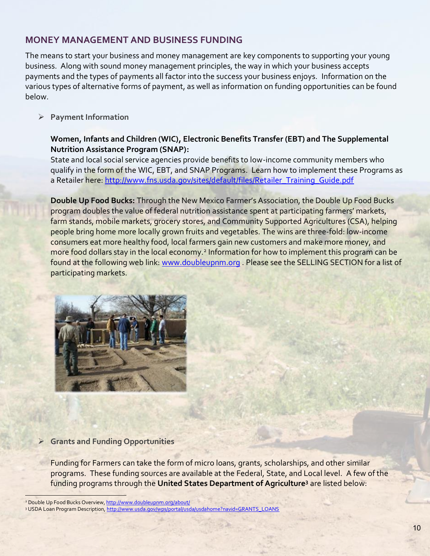# **MONEY MANAGEMENT AND BUSINESS FUNDING**

The means to start your business and money management are key components to supporting your young business. Along with sound money management principles, the way in which your business accepts payments and the types of payments all factor into the success your business enjoys. Information on the various types of alternative forms of payment, as well as information on funding opportunities can be found below.

➢ **Payment Information**

### **Women, Infants and Children (WIC), Electronic Benefits Transfer (EBT) and The Supplemental Nutrition Assistance Program (SNAP):**

State and local social service agencies provide benefits to low-income community members who qualify in the form of the WIC, EBT, and SNAP Programs. Learn how to implement these Programs as a Retailer here: [http://www.fns.usda.gov/sites/default/files/Retailer\\_Training\\_Guide.pdf](http://www.fns.usda.gov/sites/default/files/Retailer_Training_Guide.pdf)

**Double Up Food Bucks:** Through the New Mexico Farmer's Association, the Double Up Food Bucks program doubles the value of federal nutrition assistance spent at participating farmers' markets, farm stands, mobile markets, grocery stores, and Community Supported Agricultures (CSA), helping people bring home more locally grown fruits and vegetables. The wins are three-fold: low-income consumers eat more healthy food, local farmers gain new customers and make more money, and more food dollars stay in the local economy.<sup>2</sup> Information for how to implement this program can be found at the following web link: [www.doubleupnm.org](http://www.doubleupnm.org/) . Please see the SELLING SECTION for a list of participating markets.



#### ➢ **Grants and Funding Opportunities**

Funding for Farmers can take the form of micro loans, grants, scholarships, and other similar programs. These funding sources are available at the Federal, State, and Local level. A few of the funding programs through the **United States Department of Agriculture<sup>3</sup>** are listed below:

<sup>&</sup>lt;sup>2</sup> Double Up Food Bucks Overview[, http://www.doubleupnm.org/about/](http://www.doubleupnm.org/about/)

<sup>3</sup> USDA Loan Program Description[, http://www.usda.gov/wps/portal/usda/usdahome?navid=GRANTS\\_LOANS](http://www.usda.gov/wps/portal/usda/usdahome?navid=GRANTS_LOANS)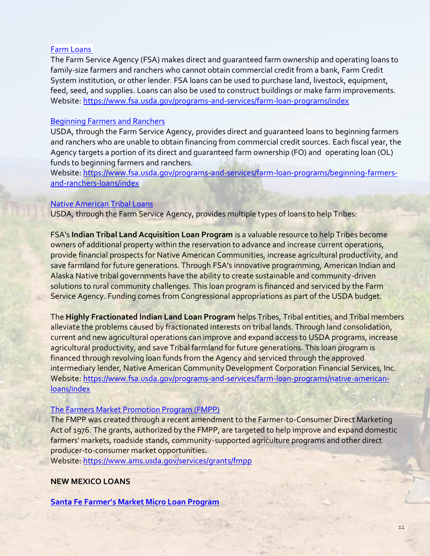#### [Farm Loans](http://www.fsa.usda.gov/FSA/webapp?area=home&subject=fmlp&topic=landing)

The Farm Service Agency (FSA) makes direct and guaranteed farm ownership and operating loans to family-size farmers and ranchers who cannot obtain commercial credit from a bank, Farm Credit System institution, or other lender. FSA loans can be used to purchase land, livestock, equipment, feed, seed, and supplies. Loans can also be used to construct buildings or make farm improvements. Website: <https://www.fsa.usda.gov/programs-and-services/farm-loan-programs/index>

#### [Beginning Farmers and Ranchers](https://www.fsa.usda.gov/programs-and-services/farm-loan-programs/beginning-farmers-and-ranchers-loans/index)

USDA, through the Farm Service Agency, provides direct and guaranteed loans to beginning farmers and ranchers who are unable to obtain financing from commercial credit sources. Each fiscal year, the Agency targets a portion of its direct and guaranteed farm ownership (FO) and operating loan (OL) funds to beginning farmers and ranchers.

Website: [https://www.fsa.usda.gov/programs-and-services/farm-loan-programs/beginning-farmers](https://www.fsa.usda.gov/programs-and-services/farm-loan-programs/beginning-farmers-and-ranchers-loans/index)[and-ranchers-loans/index](https://www.fsa.usda.gov/programs-and-services/farm-loan-programs/beginning-farmers-and-ranchers-loans/index)

#### [Native American Tribal Loans](https://www.fsa.usda.gov/programs-and-services/farm-loan-programs/native-american-loans/index)

USDA, through the Farm Service Agency, provides multiple types of loans to help Tribes:

FSA's **Indian Tribal Land Acquisition Loan Program** is a valuable resource to help Tribes become owners of additional property within the reservation to advance and increase current operations, provide financial prospects for Native American Communities, increase agricultural productivity, and save farmland for future generations. Through FSA's innovative programming, American Indian and Alaska Native tribal governments have the ability to create sustainable and community-driven solutions to rural community challenges. This loan program is financed and serviced by the Farm Service Agency. Funding comes from Congressional appropriations as part of the USDA budget.

The **Highly Fractionated Indian Land Loan Program** helps Tribes, Tribal entities, and Tribal members alleviate the problems caused by fractionated interests on tribal lands. Through land consolidation, current and new agricultural operations can improve and expand access to USDA programs, increase agricultural productivity, and save Tribal farmland for future generations. This loan program is financed through revolving loan funds from the Agency and serviced through the approved intermediary lender, Native American Community Development Corporation Financial Services, Inc. Website: [https://www.fsa.usda.gov/programs-and-services/farm-loan-programs/native-american](https://www.fsa.usda.gov/programs-and-services/farm-loan-programs/native-american-loans/index)[loans/index](https://www.fsa.usda.gov/programs-and-services/farm-loan-programs/native-american-loans/index)

#### [The Farmers Market Promotion Program](http://www.ams.usda.gov/services/grants/fmpp) (FMPP)

The FMPP was created through a recent amendment to the Farmer-to-Consumer Direct Marketing Act of 1976. The grants, authorized by the FMPP, are targeted to help improve and expand domestic farmers' markets, roadside stands, community-supported agriculture programs and other direct producer-to-consumer market opportunities.

Website:<https://www.ams.usda.gov/services/grants/fmpp>

#### **NEW MEXICO LOANS**

**Santa Fe Farmer'[s Market Micro Loan Program](https://farmersmarketinstitute.org/programs/micro-loans/)**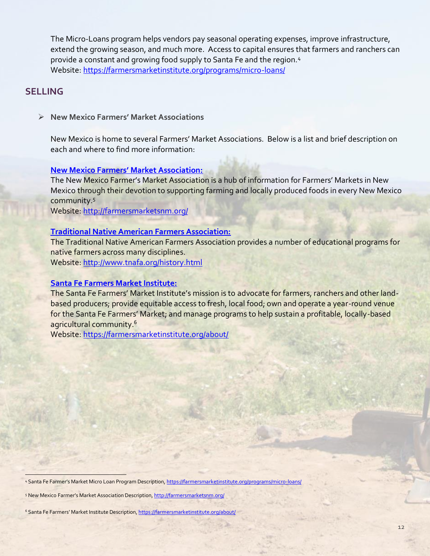The Micro-Loans program helps vendors pay seasonal operating expenses, improve infrastructure, extend the growing season, and much more. Access to capital ensures that farmers and ranchers can provide a constant and growing food supply to Santa Fe and the region.<sup>4</sup> Website:<https://farmersmarketinstitute.org/programs/micro-loans/>

# **SELLING**

➢ **New Mexico Farmers' Market Associations**

New Mexico is home to several Farmers' Market Associations. Below is a list and brief description on each and where to find more information:

#### **[New Mexico Farmers' Market Association:](http://farmersmarketsnm.org/)**

The New Mexico Farmer's Market Association is a hub of information for Farmers' Markets in New Mexico through their devotion to supporting farming and locally produced foods in every New Mexico community.<sup>5</sup>

Website:<http://farmersmarketsnm.org/>

#### **[Traditional Native American Farmers Association:](http://www.tnafa.org/history.html)**

The Traditional Native American Farmers Association provides a number of educational programs for native farmers across many disciplines.

Website:<http://www.tnafa.org/history.html>

#### **[Santa Fe Farmers Market Institute:](https://farmersmarketinstitute.org/about/)**

The Santa Fe Farmers' Market Institute's mission is to advocate for farmers, ranchers and other landbased producers; provide equitable access to fresh, local food; own and operate a year-round venue for the Santa Fe Farmers' Market; and manage programs to help sustain a profitable, locally-based agricultural community.<sup>6</sup>

Website:<https://farmersmarketinstitute.org/about/>

4 Santa Fe Farmer's Market Micro Loan Program Description, <https://farmersmarketinstitute.org/programs/micro-loans/>

5 New Mexico Farmer's Market Association Description, <http://farmersmarketsnm.org/>

<sup>6</sup> Santa Fe Farmers' Market Institute Description, <https://farmersmarketinstitute.org/about/>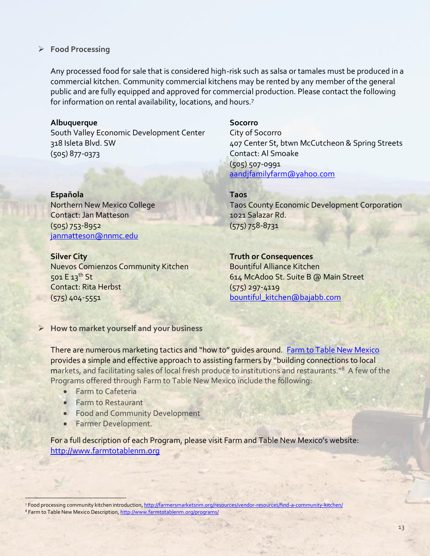#### ➢ **Food Processing**

Any processed food for sale that is considered high-risk such as salsa or tamales must be produced in a commercial kitchen. Community commercial kitchens may be rented by any member of the general public and are fully equipped and approved for commercial production. Please contact the following for information on rental availability, locations, and hours.<sup>7</sup>

#### **Albuquerque**

South Valley Economic Development Center 318 Isleta Blvd. SW (505) 877-0373

**Española** Northern New Mexico College Contact: Jan Matteson (505) 753-8952 [janmatteson@nnmc.edu](mailto:janmatteson@nnmc.edu)

#### **Silver City**

 $\frac{1}{2}$ 

Nuevos Comienzos Community Kitchen 501 E 13th St Contact: Rita Herbst (575) 404-5551

#### **Socorro**

City of Socorro 407 Center St, btwn McCutcheon & Spring Streets Contact: Al Smoake (505) 507-0991 [aandjfamilyfarm@yahoo.com](mailto:aandjfamilyfarm@yahoo.com)

#### **Taos**

Taos County Economic Development Corporation 1021 Salazar Rd. (575) 758-8731

#### **Truth or Consequences**

Bountiful Alliance Kitchen 614 McAdoo St. Suite B @ Main Street (575) 297-4119 [bountiful\\_kitchen@bajabb.com](mailto:bountiful_kitchen@bajabb.com)

# ➢ **How to market yourself and your business**

There are numerous marketing tactics and "how to" guides around. [Farm to Table New Mexico](http://www.farmtotablenm.org/programs/) provides a simple and effective approach to assisting farmers by "building connections to local markets, and facilitating sales of local fresh produce to institutions and restaurants."<sup>8</sup> A few of the Programs offered through Farm to Table New Mexico include the following:

- Farm to Cafeteria
- Farm to Restaurant
- Food and Community Development
- Farmer Development.

For a full description of each Program, please visit Farm and Table New Mexico's website: [http://www.farmtotablenm.org](http://www.farmtotablenm.org/)

7 Food processing community kitchen introduction[, http://farmersmarketsnm.org/resources/vendor-resources/find-a-community-kitchen/](http://farmersmarketsnm.org/resources/vendor-resources/find-a-community-kitchen/) 8 Farm to Table New Mexico Description[, http://www.farmtotablenm.org/programs/](http://www.farmtotablenm.org/programs/)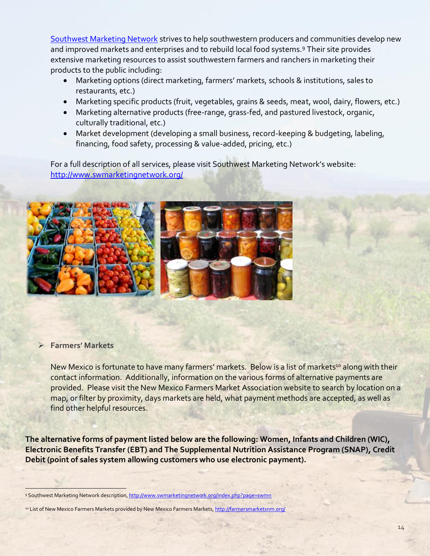[Southwest Marketing Network](http://www.swmarketingnetwork.org/) strives to help southwestern producers and communities develop new and improved markets and enterprises and to rebuild local food systems.<sup>9</sup> Their site provides extensive marketing resources to assist southwestern farmers and ranchers in marketing their products to the public including:

- Marketing options (direct marketing, farmers' markets, schools & institutions, sales to restaurants, etc.)
- Marketing specific products (fruit, vegetables, grains & seeds, meat, wool, dairy, flowers, etc.)
- Marketing alternative products (free-range, grass-fed, and pastured livestock, organic, culturally traditional, etc.)
- Market development (developing a small business, record-keeping & budgeting, labeling, financing, food safety, processing & value-added, pricing, etc.)

For a full description of all services, please visit Southwest Marketing Network's website: <http://www.swmarketingnetwork.org/>



#### ➢ **Farmers' Markets**

 $\frac{1}{2}$ 

New Mexico is fortunate to have many farmers' markets. Below is a list of markets<sup>10</sup> along with their contact information. Additionally, information on the various forms of alternative payments are provided. Please visit the New Mexico Farmers Market Association website to search by location on a map, or filter by proximity, days markets are held, what payment methods are accepted, as well as find other helpful resources.

**The alternative forms of payment listed below are the following: Women, Infants and Children (WIC), Electronic Benefits Transfer (EBT) and The Supplemental Nutrition Assistance Program (SNAP), Credit Debit (point of sales system allowing customers who use electronic payment).**

10 List of New Mexico Farmers Markets provided by New Mexico Farmers Markets[, http://farmersmarketsnm.org/](http://farmersmarketsnm.org/)

<sup>9</sup> Southwest Marketing Network description[, http://www.swmarketingnetwork.org/index.php?page=swmn](http://www.swmarketingnetwork.org/index.php?page=swmn)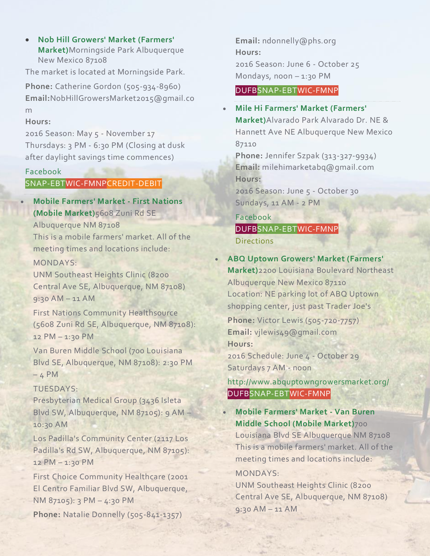• **Nob Hill Growers' Market [\(Farmers'](http://farmersmarketsnm.org/find-a-market/?wpsl_view=list) [Market\)](http://farmersmarketsnm.org/find-a-market/?wpsl_view=list)**Morningside Park Albuquerque New Mexico 87108

The market is located at Morningside Park.

**Phone:** Catherine Gordon (505-934-8960) **Email:**NobHillGrowersMarket2015@gmail.co m

#### **Hours:**

2016 Season: May 5 - November 17 Thursdays: 3 PM - 6:30 PM (Closing at dusk after daylight savings time commences)

#### [Facebook](https://www.facebook.com/nobhillgrowersmarket/)

# SNAP-EBTWIC-FMNPCREDIT-DEBIT

• **Mobile [Farmers'](http://farmersmarketsnm.org/find-a-market/?wpsl_view=list) Market - First Nations (Mobile [Market\)](http://farmersmarketsnm.org/find-a-market/?wpsl_view=list)**5608 Zuni Rd SE Albuquerque NM 87108

This is a mobile farmers' market. All of the meeting times and locations include:

MONDAYS:

UNM Southeast Heights Clinic (8200 Central Ave SE, Albuquerque, NM 87108) 9:30 AM – 11 AM

First Nations Community Healthsource (5608 Zuni Rd SE, Albuquerque, NM 87108): 12 PM – 1:30 PM

Van Buren Middle School (700 Louisiana Blvd SE, Albuquerque, NM 87108): 2:30 PM  $-4$  PM

#### TUESDAYS:

Presbyterian Medical Group (3436 Isleta Blvd SW, Albuquerque, NM 87105): 9 AM – 10:30 AM

Los Padilla's Community Center (2117 Los Padilla's Rd SW, Albuquerque, NM 87105): 12 PM – 1:30 PM

First Choice Community Healthcare (2001 El Centro Familiar Blvd SW, Albuquerque, NM 87105): 3 PM – 4:30 PM

**Phone:** Natalie Donnelly (505-841-1357)

**Email:** ndonnelly@phs.org **Hours:** 2016 Season: June 6 - October 25 Mondays, noon  $-1:30$  PM

### DUFBSNAP-EBTWIC-FMNP

• **Mile Hi Farmers' Market [\(Farmers'](http://farmersmarketsnm.org/find-a-market/?wpsl_view=list) [Market\)](http://farmersmarketsnm.org/find-a-market/?wpsl_view=list)**Alvarado Park Alvarado Dr. NE & Hannett Ave NE Albuquerque New Mexico 87110

**Phone:** Jennifer Szpak (313-327-9934) **Email:** milehimarketabq@gmail.com **Hours:**

2016 Season: June 5 - October 30 Sundays, 11 AM - 2 PM

[Facebook](https://www.facebook.com/sanpedromilehifarmersmarket/) DUFBSNAP-EBTWIC-FMNP **[Directions](http://farmersmarketsnm.org/find-a-market/?wpsl_view=list#wpsl-direction-start)** 

# • **ABQ Uptown Growers' Market [\(Farmers'](http://www.abquptowngrowersmarket.org/)**

**[Market\)](http://www.abquptowngrowersmarket.org/)**2200 Louisiana Boulevard Northeast Albuquerque New Mexico 87110 Location: NE parking lot of ABQ Uptown shopping center, just past Trader Joe's

**Phone:** Victor Lewis (505-720-7757) **Email:** vjlewis49@gmail.com **Hours:**

2016 Schedule: June 4 - October 29 Saturdays 7 AM - noon

# <http://www.abquptowngrowersmarket.org/> DUFBSNAP-EBTWIC-FMNP

• **Mobile [Farmers'](http://farmersmarketsnm.org/find-a-market/?wpsl_view=list) Market - Van Buren Middle School (Mobile [Market\)](http://farmersmarketsnm.org/find-a-market/?wpsl_view=list)**700 Louisiana Blvd SE Albuquerque NM 87108 This is a mobile farmers' market. All of the meeting times and locations include: MONDAYS:

UNM Southeast Heights Clinic (8200 Central Ave SE, Albuquerque, NM 87108) 9:30 AM – 11 AM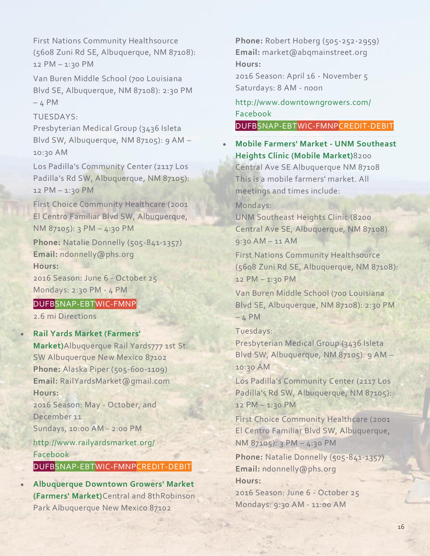First Nations Community Healthsource (5608 Zuni Rd SE, Albuquerque, NM 87108): 12 PM – 1:30 PM

Van Buren Middle School (700 Louisiana Blvd SE, Albuquerque, NM 87108): 2:30 PM  $-4$  PM

#### TUESDAYS:

Presbyterian Medical Group (3436 Isleta Blvd SW, Albuquerque, NM 87105): 9 AM – 10:30 AM

Los Padilla's Community Center (2117 Los Padilla's Rd SW, Albuquerque, NM 87105): 12 PM – 1:30 PM

First Choice Community Healthcare (2001 El Centro Familiar Blvd SW, Albuquerque, NM 87105): 3 PM – 4:30 PM

**Phone:** Natalie Donnelly (505-841-1357) **Email:** ndonnelly@phs.org **Hours:**

2016 Season: June 6 - October 25 Mondays: 2:30 PM - 4 PM

# DUFBSNAP-EBTWIC-FMNP

2.6 mi Directions

• **Rail Yards Market [\(Farmers'](http://www.railyardsmarket.org/)**

**[Market\)](http://www.railyardsmarket.org/)**Albuquerque Rail Yards777 1st St. SW Albuquerque New Mexico 87102 **Phone:** Alaska Piper (505-600-1109) **Email:** RailYardsMarket@gmail.com **Hours:**

2016 Season: May - October, and December 11 Sundays, 10:00 AM - 2:00 PM

<http://www.railyardsmarket.org/> [Facebook](https://www.facebook.com/RailYardsMarket)

#### DUFBSNAP-EBTWIC-FMNPCREDIT-DEBIT

• **[Albuquerque](http://www.downtowngrowers.com/) Downtown Growers' Market [\(Farmers'](http://www.downtowngrowers.com/) Market)**Central and 8thRobinson Park Albuquerque New Mexico 87102

**Phone:** Robert Hoberg (505-252-2959) **Email:** market@abqmainstreet.org **Hours:**

2016 Season: April 16 - November 5 Saturdays: 8 AM - noon

<http://www.downtowngrowers.com/> [Facebook](https://www.facebook.com/downtowngrowers)

DUFBSNAP-EBTWIC-FMNPCREDIT-DEBIT

• **Mobile Farmers' Market - UNM [Southeast](http://farmersmarketsnm.org/find-a-market/?wpsl_view=list) Heights Clinic (Mobile [Market\)](http://farmersmarketsnm.org/find-a-market/?wpsl_view=list)**8200

Central Ave SE Albuquerque NM 87108 This is a mobile farmers' market. All meetings and times include:

Mondays:

UNM Southeast Heights Clinic (8200 Central Ave SE, Albuquerque, NM 87108) 9:30 AM – 11 AM

First Nations Community Healthsource (5608 Zuni Rd SE, Albuquerque, NM 87108): 12 PM – 1:30 PM

Van Buren Middle School (700 Louisiana Blvd SE, Albuquerque, NM 87108): 2:30 PM  $-4$  PM

Tuesdays:

Presbyterian Medical Group (3436 Isleta Blvd SW, Albuquerque, NM 87105): 9 AM – 10:30 AM

Los Padilla's Community Center (2117 Los Padilla's Rd SW, Albuquerque, NM 87105): 12 PM – 1:30 PM

First Choice Community Healthcare (2001 El Centro Familiar Blvd SW, Albuquerque, NM 87105): 3 PM – 4:30 PM

**Phone:** Natalie Donnelly (505-841-1357) **Email:** ndonnelly@phs.org **Hours:**

2016 Season: June 6 - October 25 Mondays: 9:30 AM - 11:00 AM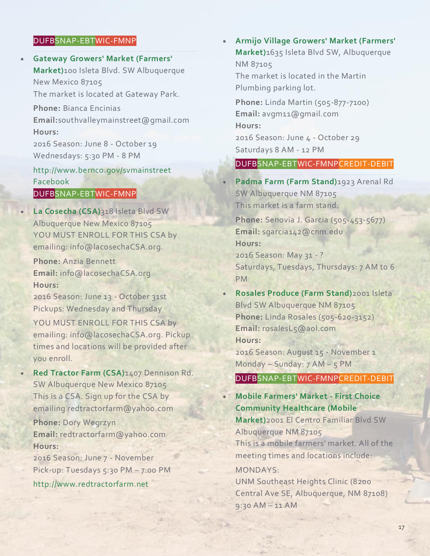#### DUFBSNAP-EBTWIC-FMNP

• **Gateway Growers' Market [\(Farmers'](http://www.bernco.gov/svmainstreet) [Market\)](http://www.bernco.gov/svmainstreet)**100 Isleta Blvd. SW Albuquerque New Mexico 87105 The market is located at Gateway Park. **Phone:** Bianca Encinias **Email:**southvalleymainstreet@gmail.com **Hours:** 2016 Season: June 8 - October 19 Wednesdays: 5:30 PM - 8 PM <http://www.bernco.gov/svmainstreet> [Facebook](http://www.facebook.com/svmainstreet)

#### DUFBSNAP-EBTWIC-FMNP

• **La [Cosecha](http://farmersmarketsnm.org/find-a-market/?wpsl_view=list) (CSA)**318 Isleta Blvd SW Albuquerque New Mexico 87105 YOU MUST ENROLL FOR THIS CSA by emailing: info@lacosechaCSA.org.

**Phone:** Anzia Bennett **Email:** info@lacosechaCSA.org **Hours:**

2016 Season: June 13 - October 31st Pickups: Wednesday and Thursday YOU MUST ENROLL FOR THIS CSA by emailing: info@lacosechaCSA.org. Pickup times and locations will be provided after you enroll.

• **Red [Tractor](http://www.redtractorfarm.net/) Farm (CSA)**1407 Dennison Rd. SW Albuquerque New Mexico 87105 This is a CSA. Sign up for the CSA by emailing redtractorfarm@yahoo.com

**Phone:** Dory Wegrzyn **Email:** redtractorfarm@yahoo.com **Hours:**

2016 Season: June 7 - November Pick-up: Tuesdays 5:30 PM - 7:00 PM

[http://www.redtractorfarm.net](http://www.redtractorfarm.net/)

• **Armijo Village Growers' Market [\(Farmers'](http://farmersmarketsnm.org/find-a-market/?wpsl_view=list) [Market\)](http://farmersmarketsnm.org/find-a-market/?wpsl_view=list)**1635 Isleta Blvd SW, Albuquerque NM 87105 The market is located in the Martin Plumbing parking lot. **Phone:** Linda Martin (505-877-7100) **Email:** avgm11@gmail.com **Hours:** 2016 Season: June 4 - October 29 Saturdays 8 AM - 12 PM

#### DUFBSNAP-EBTWIC-FMNPCREDIT-DEBIT

• **[Padma](http://farmersmarketsnm.org/find-a-market/?wpsl_view=list) Farm (Farm Stand)**1923 Arenal Rd SW Albuquerque NM 87105 This market is a farm stand.

**Phone:** Senovia J. Garcia (505-453-5677) **Email:** sgarcia142@cnm.edu **Hours:**

2016 Season: May 31 - ? Saturdays, Tuesdays, Thursdays: 7 AM to 6 PM

• **Rosales [Produce](http://farmersmarketsnm.org/find-a-market/?wpsl_view=list) (Farm Stand)**2001 Isleta Blvd SW Albuquerque NM 87105 **Phone:** Linda Rosales (505-620-3152) **Email:** rosalesL5@aol.com **Hours:** 2016 Season: August 15 - November 1 Monday – Sunday: 7 AM – 5 PM DUFBSNAP-EBTWIC-FMNPCREDIT-DEBIT

• **Mobile [Farmers'](http://farmersmarketsnm.org/find-a-market/?wpsl_view=list) Market - First Choice [Community](http://farmersmarketsnm.org/find-a-market/?wpsl_view=list) Healthcare (Mobile [Market\)](http://farmersmarketsnm.org/find-a-market/?wpsl_view=list)**2001 El Centro Familiar Blvd SW

Albuquerque NM 87105 This is a mobile farmers' market. All of the meeting times and locations include:

#### MONDAYS:

UNM Southeast Heights Clinic (8200 Central Ave SE, Albuquerque, NM 87108) 9:30 AM – 11 AM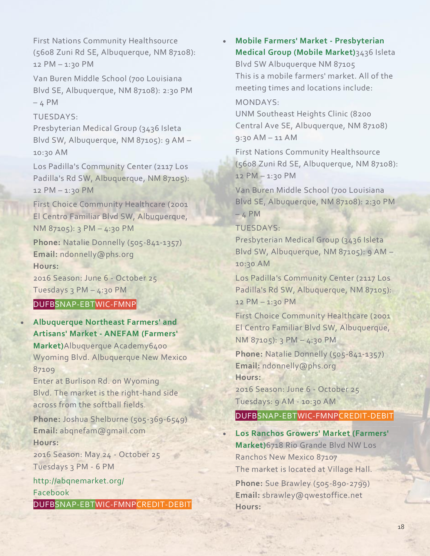First Nations Community Healthsource (5608 Zuni Rd SE, Albuquerque, NM 87108): 12 PM – 1:30 PM

Van Buren Middle School (700 Louisiana Blvd SE, Albuquerque, NM 87108): 2:30 PM  $-4$  PM

TUESDAYS:

Presbyterian Medical Group (3436 Isleta Blvd SW, Albuquerque, NM 87105): 9 AM – 10:30 AM

Los Padilla's Community Center (2117 Los Padilla's Rd SW, Albuquerque, NM 87105): 12 PM – 1:30 PM

First Choice Community Healthcare (2001 El Centro Familiar Blvd SW, Albuquerque, NM 87105): 3 PM – 4:30 PM

**Phone:** Natalie Donnelly (505-841-1357) **Email:** ndonnelly@phs.org **Hours:**

2016 Season: June 6 - October 25 Tuesdays 3 PM – 4:30 PM

# DUFBSNAP-EBTWIC-FMNP

• **[Albuquerque](http://abqnemarket.org/) Northeast Farmers' and Artisans' Market - ANEFAM [\(Farmers'](http://abqnemarket.org/) [Market\)](http://abqnemarket.org/)**Albuquerque Academy6400 Wyoming Blvd. Albuquerque New Mexico 87109 Enter at Burlison Rd. on Wyoming Blvd. The market is the right-hand side across from the softball fields. **Phone:** Joshua Shelburne (505-369-6549) **Email:** abqnefam@gmail.com **Hours:** 2016 Season: May 24 - October 25 Tuesdays 3 PM - 6 PM <http://abqnemarket.org/>

[Facebook](https://www.facebook.com/abqnemarket)

DUFBSNAP-EBTWIC-FMNPCREDIT-DEBIT

• **Mobile Farmers' Market - [Presbyterian](http://farmersmarketsnm.org/find-a-market/?wpsl_view=list) Medical Group (Mobile [Market\)](http://farmersmarketsnm.org/find-a-market/?wpsl_view=list)**3436 Isleta Blvd SW Albuquerque NM 87105 This is a mobile farmers' market. All of the meeting times and locations include:

#### MONDAYS:

UNM Southeast Heights Clinic (8200 Central Ave SE, Albuquerque, NM 87108) 9:30 AM – 11 AM

First Nations Community Healthsource (5608 Zuni Rd SE, Albuquerque, NM 87108): 12 PM – 1:30 PM

Van Buren Middle School (700 Louisiana Blvd SE, Albuquerque, NM 87108): 2:30 PM  $-4$  PM

TUESDAYS:

Presbyterian Medical Group (3436 Isleta Blvd SW, Albuquerque, NM 87105): 9 AM – 10:30 AM

Los Padilla's Community Center (2117 Los Padilla's Rd SW, Albuquerque, NM 87105): 12 PM – 1:30 PM

First Choice Community Healthcare (2001 El Centro Familiar Blvd SW, Albuquerque, NM 87105): 3 PM – 4:30 PM

**Phone:** Natalie Donnelly (505-841-1357) **Email:** ndonnelly@phs.org **Hours:**

2016 Season: June 6 - October 25 Tuesdays: 9 AM - 10:30 AM

### DUFBSNAP-EBTWIC-FMNPCREDIT-DEBIT

• **Los Ranchos Growers' Market [\(Farmers'](http://www.losranchosgrowersmarket.com/) [Market\)](http://www.losranchosgrowersmarket.com/)**6718 Rio Grande Blvd NW Los Ranchos New Mexico 87107 The market is located at Village Hall.

**Phone:** Sue Brawley (505-890-2799) **Email:** sbrawley@qwestoffice.net **Hours:**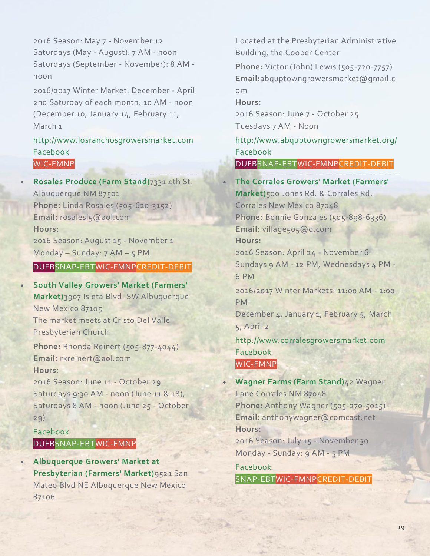2016 Season: May 7 - November 12 Saturdays (May - August): 7 AM - noon Saturdays (September - November): 8 AM noon

2016/2017 Winter Market: December - April 2nd Saturday of each month: 10 AM - noon (December 10, January 14, February 11, March<sub>1</sub>

# [http://www.losranchosgrowersmarket.com](http://www.losranchosgrowersmarket.com/) [Facebook](https://www.facebook.com/LosRanchosGrowersMarket) WIC-FMNP

• **Rosales [Produce](http://farmersmarketsnm.org/find-a-market/?wpsl_view=list) (Farm Stand)**7331 4th St. Albuquerque NM 87501 **Phone:** Linda Rosales (505-620-3152) **Email:** rosalesl5@aol.com **Hours:** 2016 Season: August 15 - November 1 Monday – Sunday: 7 AM – 5 PM

# DUFBSNAP-EBTWIC-FMNPCREDIT-DEBIT

• **South Valley Growers' Market [\(Farmers'](http://farmersmarketsnm.org/find-a-market/?wpsl_view=list) [Market\)](http://farmersmarketsnm.org/find-a-market/?wpsl_view=list)**3907 Isleta Blvd. SW Albuquerque New Mexico 87105 The market meets at Cristo Del Valle Presbyterian Church

**Phone:** Rhonda Reinert (505-877-4044) **Email:** rkreinert@aol.com **Hours:**

2016 Season: June 11 - October 29 Saturdays 9:30 AM - noon (June 11 & 18), Saturdays 8 AM - noon (June 25 - October 29)

# [Facebook](http://www.facebook.com/southvalleygrowersmarket) DUFBSNAP-EBTWIC-FMNP

• **[Albuquerque](http://www.abquptowngrowersmarket.org/) Growers' Market at [Presbyterian](http://www.abquptowngrowersmarket.org/) (Farmers' Market)**9521 San Mateo Blvd NE Albuquerque New Mexico 87106

Located at the Presbyterian Administrative Building, the Cooper Center

**Phone:** Victor (John) Lewis (505-720-7757) **Email:**abquptowngrowersmarket@gmail.c om

**Hours:**

2016 Season: June 7 - October 25 Tuesdays 7 AM - Noon

<http://www.abquptowngrowersmarket.org/> [Facebook](https://www.facebook.com/ABQUptownGrowersMarket?sk=wall&filter=2)

DUFBSNAP-EBTWIC-FMNPCREDIT-DEBIT

# • **The Corrales Growers' Market [\(Farmers'](http://www.corralesgrowersmarket.com/) [Market\)](http://www.corralesgrowersmarket.com/)**500 Jones Rd. & Corrales Rd. Corrales New Mexico 87048

**Phone:** Bonnie Gonzales (505-898-6336) **Email:** village505@q.com **Hours:**

2016 Season: April 24 - November 6 Sundays 9 AM - 12 PM, Wednesdays 4 PM -6 PM

2016/2017 Winter Markets: 11:00 AM - 1:00 PM

December 4, January 1, February 5, March 5, April 2

[http://www.corralesgrowersmarket.com](http://www.corralesgrowersmarket.com/) [Facebook](http://facebook.com/corralesgrowersmarket) WIC-FMNP

• **[Wagner](http://farmersmarketsnm.org/find-a-market/?wpsl_view=list) Farms (Farm Stand)**42 Wagner Lane Corrales NM 87048 **Phone:** Anthony Wagner (505-270-5015) **Email:** anthonywagner@comcast.net **Hours:** 2016 Season: July 15 - November 30 Monday - Sunday: 9 AM - 5 PM

[Facebook](https://www.facebook.com/Wagnerfarms/) SNAP-EBTWIC-FMNPCREDIT-DEBIT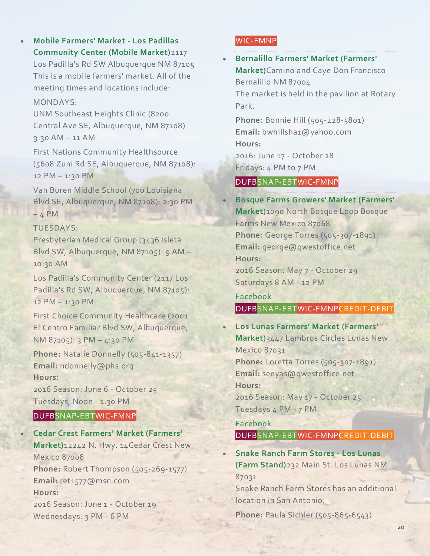# • **Mobile [Farmers'](http://farmersmarketsnm.org/find-a-market/?wpsl_view=list) Market - Los Padillas [Community](http://farmersmarketsnm.org/find-a-market/?wpsl_view=list) Center (Mobile Market)**2117

Los Padilla's Rd SW Albuquerque NM 87105 This is a mobile farmers' market. All of the meeting times and locations include:

#### MONDAYS:

UNM Southeast Heights Clinic (8200 Central Ave SE, Albuquerque, NM 87108) 9:30 AM – 11 AM

First Nations Community Healthsource (5608 Zuni Rd SE, Albuquerque, NM 87108): 12 PM – 1:30 PM

Van Buren Middle School (700 Louisiana Blvd SE, Albuquerque, NM 87108): 2:30 PM  $-4$  PM

### TUESDAYS:

Presbyterian Medical Group (3436 Isleta Blvd SW, Albuquerque, NM 87105): 9 AM – 10:30 AM

Los Padilla's Community Center (2117 Los Padilla's Rd SW, Albuquerque, NM 87105): 12 PM – 1:30 PM

First Choice Community Healthcare (2001 El Centro Familiar Blvd SW, Albuquerque, NM 87105): 3 PM – 4:30 PM

**Phone:** Natalie Donnelly (505-841-1357) **Email:** ndonnelly@phs.org **Hours:**

2016 Season: June 6 - October 25 Tuesdays, Noon - 1:30 PM

# DUFBSNAP-EBTWIC-FMNP

• **Cedar Crest Farmers' Market [\(Farmers'](http://farmersmarketsnm.org/find-a-market/?wpsl_view=list) [Market\)](http://farmersmarketsnm.org/find-a-market/?wpsl_view=list)**12242 N. Hwy. 14Cedar Crest New Mexico 87008 **Phone:** Robert Thompson (505-269-1577) **Email:** ret1577@msn.com **Hours:** 2016 Season: June 1 - October 19 Wednesdays: 3 PM - 6 PM

# WIC-FMNP

• **[Bernalillo](http://farmersmarketsnm.org/find-a-market/?wpsl_view=list) Farmers' Market (Farmers' [Market\)](http://farmersmarketsnm.org/find-a-market/?wpsl_view=list)**Camino and Caye Don Francisco Bernalillo NM 87004 The market is held in the pavilion at Rotary Park.

**Phone:** Bonnie Hill (505-228-5801) **Email:** bwhillsha1@yahoo.com **Hours:** 2016: June 17 - October 28

Fridays: 4 PM to 7 PM

# DUFBSNAP-EBTWIC-FMNP

• **Bosque Farms Growers' Market [\(Farmers'](http://farmersmarketsnm.org/find-a-market/?wpsl_view=list) [Market\)](http://farmersmarketsnm.org/find-a-market/?wpsl_view=list)**1090 North Bosque Loop Bosque Farms New Mexico 87068 **Phone:** George Torres (505-307-1891) **Email:** george@qwestoffice.net **Hours:** 2016 Season: May 7 - October 29 Saturdays 8 AM - 12 PM

[Facebook](https://www.facebook.com/farmersmarketsofvalenciacounty/) DUFBSNAP-EBTWIC-FMNPCREDIT-DEBIT

# • **Los Lunas Farmers' Market [\(Farmers'](http://farmersmarketsnm.org/find-a-market/?wpsl_view=list) [Market\)](http://farmersmarketsnm.org/find-a-market/?wpsl_view=list)**3447 Lambros Circles Lunas New Mexico 87031 **Phone:** Loretta Torres (505-307-1891) **Email:** senyas@qwestoffice.net **Hours:** 2016 Season: May 17 - October 25 Tuesdays 4 PM - 7 PM

[Facebook](https://www.facebook.com/farmersmarketsofvalenciacounty/) DUFBSNAP-EBTWIC-FMNPCREDIT-DEBIT

• **Snake Ranch Farm [Stores](http://sichlerchile.com/) - Los Lunas (Farm [Stand\)](http://sichlerchile.com/)**232 Main St. Los Lunas NM 87031

Snake Ranch Farm Stores has an additional location in San Antonio.

**Phone:** Paula Sichler (505-865-6543)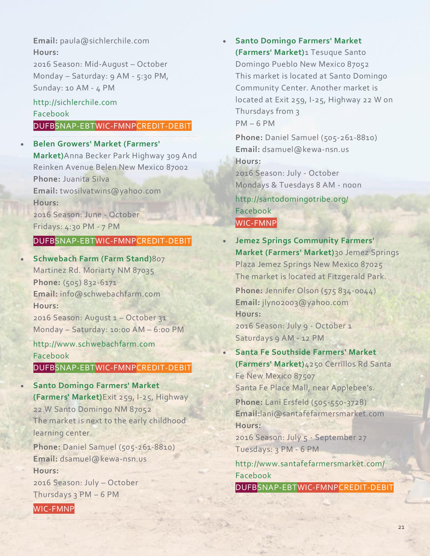**Email:** paula@sichlerchile.com **Hours:**

2016 Season: Mid-August – October Monday – Saturday: 9 AM - 5:30 PM, Sunday: 10 AM - 4 PM

# [http://sichlerchile.com](http://sichlerchile.com/) [Facebook](https://www.facebook.com/SnakeRanchFarmStores)

# DUFBSNAP-EBTWIC-FMNPCREDIT-DEBIT

### • **Belen Growers' Market [\(Farmers'](http://farmersmarketsnm.org/find-a-market/?wpsl_view=list)**

**[Market\)](http://farmersmarketsnm.org/find-a-market/?wpsl_view=list)**Anna Becker Park Highway 309 And Reinken Avenue Belen New Mexico 87002 **Phone:** Juanita Silva **Email:** twosilvatwins@yahoo.com **Hours:** 2016 Season: June - October Fridays: 4:30 PM - 7 PM

# DUFBSNAP-EBTWIC-FMNPCREDIT-DEBIT

• **[Schwebach](http://www.schwebachfarm.com/) Farm (Farm Stand)**807 Martinez Rd. Moriarty NM 87035 **Phone:** (505) 832-6171 **Email:** info@schwebachfarm.com **Hours:**

2016 Season: August 1 – October 31 Monday – Saturday: 10:00 AM – 6:00 PM

[http://www.schwebachfarm.com](http://www.schwebachfarm.com/) [Facebook](https://www.facebook.com/schwebachfarm)

# DUFBSNAP-EBTWIC-FMNPCREDIT-DEBIT

• **Santo [Domingo](http://farmersmarketsnm.org/find-a-market/?wpsl_view=list) Farmers' Market [\(Farmers'](http://farmersmarketsnm.org/find-a-market/?wpsl_view=list) Market)**Exit 259, I-25, Highway 22 W Santo Domingo NM 87052 The market is next to the early childhood learning center.

**Phone:** Daniel Samuel (505-261-8810) **Email:** dsamuel@kewa-nsn.us **Hours:**

2016 Season: July – October Thursdays 3 PM – 6 PM

WIC-FMNP

• **Santo [Domingo](http://santodomingotribe.org/) Farmers' Market [\(Farmers'](http://santodomingotribe.org/) Market)**1 Tesuque Santo Domingo Pueblo New Mexico 87052 This market is located at Santo Domingo Community Center. Another market is located at Exit 259, I-25, Highway 22 W on Thursdays from 3 PM – 6 PM

**Phone:** Daniel Samuel (505-261-8810) **Email:** dsamuel@kewa-nsn.us **Hours:** 2016 Season: July - October Mondays & Tuesdays 8 AM - noon

<http://santodomingotribe.org/> [Facebook](https://www.facebook.com/santodomingotribalprograms/) WIC-FMNP

• **Jemez Springs [Community](http://farmersmarketsnm.org/find-a-market/?wpsl_view=list) Farmers' Market [\(Farmers'](http://farmersmarketsnm.org/find-a-market/?wpsl_view=list) Market)**30 Jemez Springs Plaza Jemez Springs New Mexico 87025 The market is located at Fitzgerald Park.

**Phone:** Jennifer Olson (575 834-0044) **Email:** jlyno2003@yahoo.com **Hours:** 2016 Season: July 9 - October 1

Saturdays 9 AM - 12 PM

• **Santa Fe [Southside](http://www.santafefarmersmarket.com/) Farmers' Market [\(Farmers'](http://www.santafefarmersmarket.com/) Market)**4250 Cerrillos Rd Santa Fe New Mexico 87507

Santa Fe Place Mall, near Applebee's.

**Phone:** Lani Ersfeld (505-550-3728) **Email:**lani@santafefarmersmarket.com **Hours:** 2016 Season: July 5 - September 27 Tuesdays: 3 PM - 6 PM <http://www.santafefarmersmarket.com/> [Facebook](https://www.facebook.com/santafefarmersmarket?ref=ts) DUFBSNAP-EBTWIC-FMNPCREDIT-DEBIT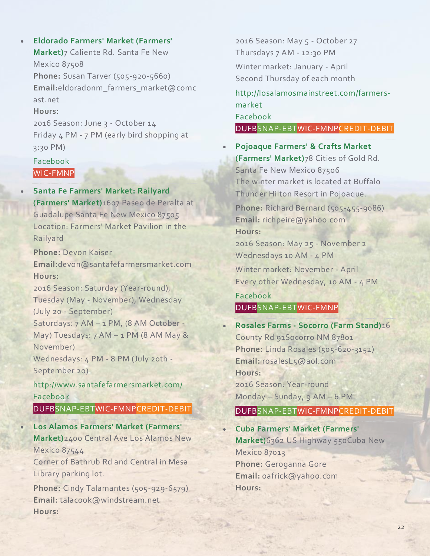• **Eldorado Farmers' Market [\(Farmers'](http://farmersmarketsnm.org/find-a-market/?wpsl_view=list) [Market\)](http://farmersmarketsnm.org/find-a-market/?wpsl_view=list)**7 Caliente Rd. Santa Fe New Mexico 87508 **Phone:** Susan Tarver (505-920-5660) **Email:**eldoradonm\_farmers\_market@comc ast.net **Hours:**

2016 Season: June 3 - October 14 Friday 4 PM - 7 PM (early bird shopping at 3:30 PM)

# [Facebook](https://www.facebook.com/Eldorado-Farmers-Market-859531034130066/) WIC-FMNP

• **Santa Fe [Farmers'](http://www.santafefarmersmarket.com/) Market: Railyard [\(Farmers'](http://www.santafefarmersmarket.com/) Market)**1607 Paseo de Peralta at Guadalupe Santa Fe New Mexico 87505 Location: Farmers' Market Pavilion in the Railyard

**Phone:** Devon Kaiser **Email:**devon@santafefarmersmarket.com **Hours:**

2016 Season: Saturday (Year-round), Tuesday (May - November), Wednesday (July 20 - September)

Saturdays: 7 AM – 1 PM, (8 AM October - May) Tuesdays: 7 AM – 1 PM (8 AM May & November)

Wednesdays: 4 PM - 8 PM (July 20th -September 20)

<http://www.santafefarmersmarket.com/> [Facebook](https://www.facebook.com/santafefarmersmarket?ref=ts)

DUFBSNAP-EBTWIC-FMNPCREDIT-DEBIT

• **Los Alamos Farmers' Market [\(Farmers'](http://losalamosmainstreet.com/farmers-market) [Market\)](http://losalamosmainstreet.com/farmers-market)**2400 Central Ave Los Alamos New Mexico 87544

Corner of Bathrub Rd and Central in Mesa Library parking lot.

**Phone:** Cindy Talamantes (505-929-6579) **Email:** talacook@windstream.net **Hours:**

2016 Season: May 5 - October 27 Thursdays 7 AM - 12:30 PM Winter market: January - April Second Thursday of each month [http://losalamosmainstreet.com/farmers](http://losalamosmainstreet.com/farmers-market)[market](http://losalamosmainstreet.com/farmers-market) [Facebook](https://www.facebook.com/losalamosfarmersmarket) DUFBSNAP-EBTWIC-FMNPCREDIT-DEBIT

• **[Pojoaque](http://farmersmarketsnm.org/find-a-market/?wpsl_view=list) Farmers' & Crafts Market [\(Farmers'](http://farmersmarketsnm.org/find-a-market/?wpsl_view=list) Market)**78 Cities of Gold Rd. Santa Fe New Mexico 87506 The winter market is located at Buffalo Thunder Hilton Resort in Pojoaque.

**Phone:** Richard Bernard (505-455-9086) **Email:** richpeire@yahoo.com **Hours:**

2016 Season: May 25 - November 2 Wednesdays 10 AM - 4 PM

Winter market: November - April Every other Wednesday, 10 AM - 4 PM

# [Facebook](https://www.facebook.com/PuebloOfPojoaqueFarmersMarket) DUFBSNAP-EBTWIC-FMNP

• **Rosales Farms - [Socorro](http://farmersmarketsnm.org/find-a-market/?wpsl_view=list) (Farm Stand)**16 County Rd 91Socorro NM 87801 **Phone:** Linda Rosales (505-620-3152) **Email:** rosalesL5@aol.com **Hours:** 2016 Season: Year-round Monday – Sunday, 9 AM – 6 PM

# DUFBSNAP-EBTWIC-FMNPCREDIT-DEBIT

• **Cuba Farmers' Market [\(Farmers'](http://farmersmarketsnm.org/find-a-market/?wpsl_view=list) [Market\)](http://farmersmarketsnm.org/find-a-market/?wpsl_view=list)**6362 US Highway 550Cuba New Mexico 87013 **Phone:** Geroganna Gore **Email:** oafrick@yahoo.com **Hours:**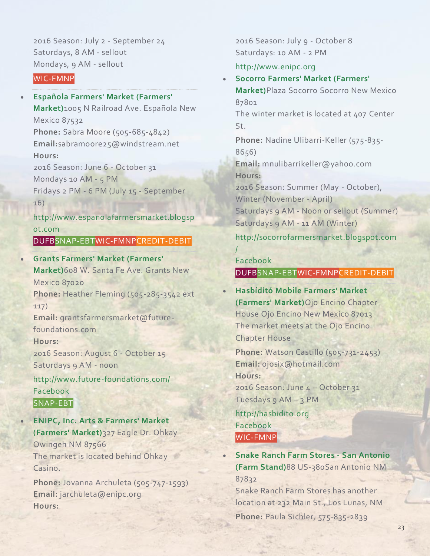2016 Season: July 2 - September 24 Saturdays, 8 AM - sellout Mondays, 9 AM - sellout

# WIC-FMNP

• **Española Farmers' Market [\(Farmers'](http://www.espanolafarmersmarket.blogspot.com/) [Market\)](http://www.espanolafarmersmarket.blogspot.com/)**1005 N Railroad Ave. Española New Mexico 87532 **Phone:** Sabra Moore (505-685-4842) **Email:**sabramoore25@windstream.net **Hours:** 2016 Season: June 6 - October 31 Mondays 10 AM - 5 PM Fridays 2 PM - 6 PM (July 15 - September 16) [http://www.espanolafarmersmarket.blogsp](http://www.espanolafarmersmarket.blogspot.com/)

[ot.com](http://www.espanolafarmersmarket.blogspot.com/) DUFBSNAP-EBTWIC-FMNPCREDIT-DEBIT

• **Grants Farmers' Market [\(Farmers'](http://www.future-foundations.com/) [Market\)](http://www.future-foundations.com/)**608 W. Santa Fe Ave. Grants New Mexico 87020 **Phone:** Heather Fleming (505-285-3542 ext 117) **Email:** grantsfarmersmarket@futurefoundations.com **Hours:** 2016 Season: August 6 - October 15 Saturdays 9 AM - noon <http://www.future-foundations.com/> [Facebook](http://www.facebook.com/grantsmainstreetfarmersmarket) SNAP-EBT

• **ENIPC, Inc. Arts & [Farmers'](http://www.enipc.org/) Market [\(Farmers'](http://www.enipc.org/) Market)**327 Eagle Dr. Ohkay Owingeh NM 87566 The market is located behind Ohkay Casino.

**Phone:** Jovanna Archuleta (505-747-1593) **Email:** jarchuleta@enipc.org **Hours:**

2016 Season: July 9 - October 8 Saturdays: 10 AM - 2 PM

#### [http://www.enipc.org](http://www.enipc.org/)

• **Socorro Farmers' Market [\(Farmers'](http://socorrofarmersmarket.blogspot.com/) [Market\)](http://socorrofarmersmarket.blogspot.com/)**Plaza Socorro Socorro New Mexico 87801 The winter market is located at 407 Center  $5t$ **Phone:** Nadine Ulibarri-Keller (575-835- 8656) **Email:** mnulibarrikeller@yahoo.com **Hours:** 2016 Season: Summer (May - October), Winter (November - April) Saturdays 9 AM - Noon or sellout (Summer) Saturdays 9 AM - 11 AM (Winter) [http://socorrofarmersmarket.blogspot.com](http://socorrofarmersmarket.blogspot.com/)

[Facebook](https://www.facebook.com/SocorroFarmersMarket)

[/](http://socorrofarmersmarket.blogspot.com/)

### DUFBSNAP-EBTWIC-FMNPCREDIT-DEBIT

• **[Hasbídító](http://hasbidito.org/) Mobile Farmers' Market [\(Farmers'](http://hasbidito.org/) Market)**Ojo Encino Chapter House Ojo Encino New Mexico 87013 The market meets at the Ojo Encino Chapter House

**Phone:** Watson Castillo (505-731-2453) **Email:** ojosix@hotmail.com **Hours:** 2016 Season: June 4 – October 31 Tuesdays 9 AM – 3 PM

[http://hasbidito.org](http://hasbidito.org/) [Facebook](https://www.facebook.com/hasbidito) WIC-FMNP

• **Snake Ranch Farm Stores - San [Antonio](http://sichlerchile.com/) (Farm [Stand\)](http://sichlerchile.com/)**88 US-380San Antonio NM 87832 Snake Ranch Farm Stores has another location at 232 Main St., Los Lunas, NM

**Phone:** Paula Sichler, 575-835-2839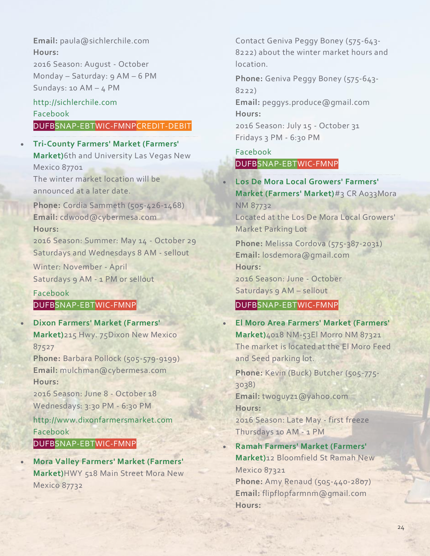**Email:** paula@sichlerchile.com **Hours:** 2016 Season: August - October

Monday – Saturday: 9 AM – 6 PM Sundays: 10 AM  $-$  4 PM

#### [http://sichlerchile.com](http://sichlerchile.com/) [Facebook](https://www.facebook.com/SnakeRanchFarmStores)

# DUFBSNAP-EBTWIC-FMNPCREDIT-DEBIT

• **[Tri-County](http://farmersmarketsnm.org/find-a-market/?wpsl_view=list) Farmers' Market (Farmers' [Market\)](http://farmersmarketsnm.org/find-a-market/?wpsl_view=list)**6th and University Las Vegas New Mexico 87701 The winter market location will be

announced at a later date.

**Phone:** Cordia Sammeth (505-426-1468) **Email:** cdwood@cybermesa.com **Hours:**

2016 Season: Summer: May 14 - October 29 Saturdays and Wednesdays 8 AM - sellout

Winter: November - April Saturdays 9 AM - 1 PM or sellout

[Facebook](https://www.facebook.com/TriCountyFarmersMarketLVNM) DUFBSNAP-EBTWIC-FMNP

• **Dixon Farmers' Market [\(Farmers'](http://www.dixonfarmersmarket.com/) [Market\)](http://www.dixonfarmersmarket.com/)**215 Hwy. 75Dixon New Mexico 87527

**Phone:** Barbara Pollock (505-579-9199) **Email:** mulchman@cybermesa.com **Hours:**

2016 Season: June 8 - October 18 Wednesdays: 3:30 PM - 6:30 PM

[http://www.dixonfarmersmarket.com](http://www.dixonfarmersmarket.com/) [Facebook](https://www.facebook.com/DixonFarmersMarket)

DUFBSNAP-EBTWIC-FMNP

• **Mora Valley Farmers' Market [\(Farmers'](http://farmersmarketsnm.org/find-a-market/?wpsl_view=list) [Market\)](http://farmersmarketsnm.org/find-a-market/?wpsl_view=list)**HWY 518 Main Street Mora New Mexico 87732

Contact Geniva Peggy Boney (575-643- 8222) about the winter market hours and location.

**Phone:** Geniva Peggy Boney (575-643- 8222)

**Email:** peggys.produce@gmail.com **Hours:**

2016 Season: July 15 - October 31 Fridays 3 PM - 6:30 PM

[Facebook](https://www.facebook.com/MoraValleyFarmersMarket) DUFBSNAP-EBTWIC-FMNP

• **Los De Mora Local [Growers'](http://farmersmarketsnm.org/find-a-market/?wpsl_view=list) Farmers' Market [\(Farmers'](http://farmersmarketsnm.org/find-a-market/?wpsl_view=list) Market)**#3 CR A033Mora NM 87732 Located at the Los De Mora Local Growers' Market Parking Lot **Phone:** Melissa Cordova (575-387-2031) **Email:** losdemora@gmail.com **Hours:** 2016 Season: June - October Saturdays 9 AM – sellout

# DUFBSNAP-EBTWIC-FMNP

• **El Moro Area Farmers' Market [\(Farmers'](http://farmersmarketsnm.org/find-a-market/?wpsl_view=list) [Market\)](http://farmersmarketsnm.org/find-a-market/?wpsl_view=list)**4018 NM-53El Morro NM 87321 The market is located at the El Moro Feed and Seed parking lot. **Phone:** Kevin (Buck) Butcher (505-775- 3038) **Email:** twoguyz1@yahoo.com **Hours:** 2016 Season: Late May - first freeze Thursdays 10 AM - 1 PM • **Ramah Farmers' Market [\(Farmers'](http://farmersmarketsnm.org/find-a-market/?wpsl_view=list) [Market\)](http://farmersmarketsnm.org/find-a-market/?wpsl_view=list)**12 Bloomfield St Ramah New Mexico 87321

**Phone:** Amy Renaud (505-440-2807) **Email:** flipflopfarmnm@gmail.com **Hours:**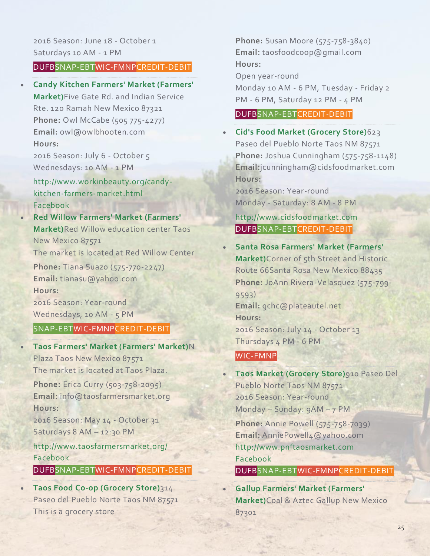#### DUFBSNAP-EBTWIC-FMNPCREDIT-DEBIT

• **Candy Kitchen Farmers' Market [\(Farmers'](http://www.workinbeauty.org/candy-kitchen-farmers-market.html) [Market\)](http://www.workinbeauty.org/candy-kitchen-farmers-market.html)**Five Gate Rd. and Indian Service Rte. 120 Ramah New Mexico 87321 **Phone:** Owl McCabe (505 775-4277) **Email:** owl@owlbhooten.com **Hours:**

2016 Season: July 6 - October 5 Wednesdays: 10 AM - 1 PM

[http://www.workinbeauty.org/candy](http://www.workinbeauty.org/candy-kitchen-farmers-market.html)[kitchen-farmers-market.html](http://www.workinbeauty.org/candy-kitchen-farmers-market.html) [Facebook](https://www.facebook.com/groups/1432699703670923/)

• **Red Willow Farmers' Market [\(Farmers'](http://farmersmarketsnm.org/find-a-market/?wpsl_view=list) [Market\)](http://farmersmarketsnm.org/find-a-market/?wpsl_view=list)**Red Willow education center Taos New Mexico 87571 The market is located at Red Willow Center **Phone:** Tiana Suazo (575-770-2247) **Email:** tianasu@yahoo.com **Hours:**

2016 Season: Year-round Wednesdays, 10 AM - 5 PM

#### SNAP-EBTWIC-FMNPCREDIT-DEBIT

• **Taos Farmers' Market [\(Farmers'](http://www.taosfarmersmarket.org/) Market)**N Plaza Taos New Mexico 87571 The market is located at Taos Plaza.

**Phone:** Erica Curry (503-758-2095) **Email:** info@taosfarmersmarket.org **Hours:**

2016 Season: May 14 - October 31 Saturdays 8 AM – 12:30 PM

<http://www.taosfarmersmarket.org/> [Facebook](https://www.facebook.com/pages/Taos-Farmers-Market/112208735489391)

# DUFBSNAP-EBTWIC-FMNPCREDIT-DEBIT

• **Taos Food Co-op [\(Grocery](http://farmersmarketsnm.org/find-a-market/?wpsl_view=list) Store)**314 Paseo del Pueblo Norte Taos NM 87571 This is a grocery store

**Phone:** Susan Moore (575-758-3840) **Email:** taosfoodcoop@gmail.com **Hours:**

Open year-round

Monday 10 AM - 6 PM, Tuesday - Friday 2 PM - 6 PM, Saturday 12 PM - 4 PM

# DUFBSNAP-EBTCREDIT-DEBIT

• **Cid's Food Market [\(Grocery](http://www.cidsfoodmarket.com/) Store)**623 Paseo del Pueblo Norte Taos NM 87571 **Phone:** Joshua Cunningham (575-758-1148) **Email:**jcunningham@cidsfoodmarket.com **Hours:**

2016 Season: Year-round Monday - Saturday: 8 AM - 8 PM

[http://www.cidsfoodmarket.com](http://www.cidsfoodmarket.com/) DUFBSNAP-EBTCREDIT-DEBIT

• **Santa Rosa Farmers' Market [\(Farmers'](http://farmersmarketsnm.org/find-a-market/?wpsl_view=list) [Market\)](http://farmersmarketsnm.org/find-a-market/?wpsl_view=list)**Corner of 5th Street and Historic Route 66Santa Rosa New Mexico 88435 **Phone:** JoAnn Rivera-Velasquez (575-799- 9593) **Email:** gchc@plateautel.net **Hours:** 2016 Season: July 14 - October 13 Thursdays 4 PM - 6 PM

# WIC-FMNP

• **Taos Market [\(Grocery](http://www.pnftaosmarket.com/) Store)**910 Paseo Del Pueblo Norte Taos NM 87571 2016 Season: Year-round Monday – Sunday: 9AM – 7 PM **Phone:** Annie Powell (575-758-7039) **Email:** AnniePowell4@yahoo.com [http://www.pnftaosmarket.com](http://www.pnftaosmarket.com/) [Facebook](https://www.facebook.com/pnftaosmarket) DUFBSNAP-EBTWIC-FMNPCREDIT-DEBIT

• **Gallup Farmers' Market [\(Farmers'](http://farmersmarketsnm.org/find-a-market/?wpsl_view=list) [Market\)](http://farmersmarketsnm.org/find-a-market/?wpsl_view=list)**Coal & Aztec Gallup New Mexico 87301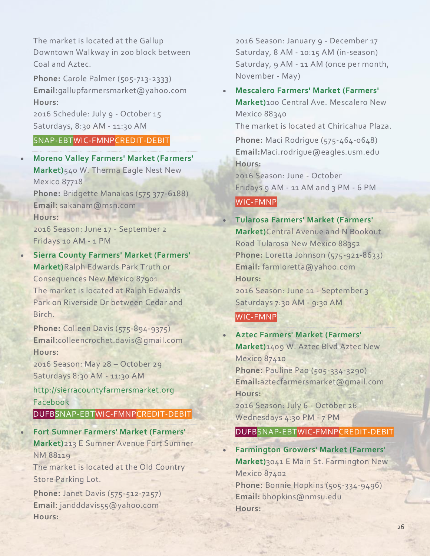The market is located at the Gallup Downtown Walkway in 200 block between Coal and Aztec.

**Phone:** Carole Palmer (505-713-2333) **Email:**gallupfarmersmarket@yahoo.com **Hours:**

2016 Schedule: July 9 - October 15 Saturdays, 8:30 AM - 11:30 AM

# SNAP-EBTWIC-FMNPCREDIT-DEBIT

• **Moreno Valley Farmers' Market [\(Farmers'](http://farmersmarketsnm.org/find-a-market/?wpsl_view=list) [Market\)](http://farmersmarketsnm.org/find-a-market/?wpsl_view=list)**540 W. Therma Eagle Nest New Mexico 87718 **Phone:** Bridgette Manakas (575 377-6188) **Email:** sakanam@msn.com **Hours:** 2016 Season: June 17 - September 2 Fridays 10 AM - 1 PM

• **Sierra County Farmers' Market [\(Farmers'](http://sierracountyfarmersmarket.org/) [Market\)](http://sierracountyfarmersmarket.org/)**Ralph Edwards Park Truth or Consequences New Mexico 87901 The market is located at Ralph Edwards Park on Riverside Dr between Cedar and Birch.

**Phone:** Colleen Davis (575-894-9375) **Email:**colleencrochet.davis@gmail.com **Hours:**

2016 Season: May 28 – October 29 Saturdays 8:30 AM - 11:30 AM

[http://sierracountyfarmersmarket.org](http://sierracountyfarmersmarket.org/) [Facebook](https://www.facebook.com/Sierra-County-Farmers-Market-364519943588572/)

DUFBSNAP-EBTWIC-FMNPCREDIT-DEBIT

• **Fort Sumner Farmers' Market [\(Farmers'](http://farmersmarketsnm.org/find-a-market/?wpsl_view=list) [Market\)](http://farmersmarketsnm.org/find-a-market/?wpsl_view=list)**213 E Sumner Avenue Fort Sumner NM 88119

The market is located at the Old Country Store Parking Lot.

**Phone:** Janet Davis (575-512-7257) **Email:** jandddavis55@yahoo.com **Hours:**

2016 Season: January 9 - December 17 Saturday, 8 AM - 10:15 AM (in-season) Saturday, 9 AM - 11 AM (once per month, November - May)

• **[Mescalero](http://farmersmarketsnm.org/find-a-market/?wpsl_view=list) Farmers' Market (Farmers' [Market\)](http://farmersmarketsnm.org/find-a-market/?wpsl_view=list)**100 Central Ave. Mescalero New Mexico 88340 The market is located at Chiricahua Plaza. **Phone:** Maci Rodrigue (575-464-0648)

**Email:**Maci.rodrigue@eagles.usm.edu **Hours:**

2016 Season: June - October Fridays 9 AM - 11 AM and 3 PM - 6 PM

WIC-FMNP

# • **Tularosa Farmers' Market [\(Farmers'](http://farmersmarketsnm.org/find-a-market/?wpsl_view=list)**

**[Market\)](http://farmersmarketsnm.org/find-a-market/?wpsl_view=list)**Central Avenue and N Bookout Road Tularosa New Mexico 88352 **Phone:** Loretta Johnson (575-921-8633) **Email:** farmloretta@yahoo.com **Hours:** 2016 Season: June 11 - September 3 Saturdays 7:30 AM - 9:30 AM

#### WIC-FMNP

• **Aztec Farmers' Market [\(Farmers'](http://farmersmarketsnm.org/find-a-market/?wpsl_view=list) [Market\)](http://farmersmarketsnm.org/find-a-market/?wpsl_view=list)**1409 W. Aztec Blvd Aztec New Mexico 87410 **Phone:** Pauline Pao (505-334-3290) **Email:**aztecfarmersmarket@gmail.com **Hours:** 2016 Season: July 6 - October 26

Wednesdays 4:30 PM - 7 PM

### DUFBSNAP-EBTWIC-FMNPCREDIT-DEBIT

• **[Farmington](http://farmingtongrowersmarket.com/) Growers' Market (Farmers' [Market\)](http://farmingtongrowersmarket.com/)**3041 E Main St. Farmington New Mexico 87402 **Phone:** Bonnie Hopkins (505-334-9496)

**Email:** bhopkins@nmsu.edu **Hours:**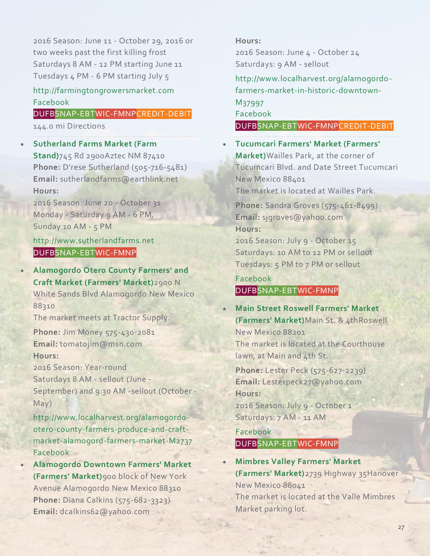2016 Season: June 11 - October 29, 2016 or two weeks past the first killing frost Saturdays 8 AM - 12 PM starting June 11 Tuesdays 4 PM - 6 PM starting July 5

# [http://farmingtongrowersmarket.com](http://farmingtongrowersmarket.com/) [Facebook](https://www.facebook.com/farmingtongrowersmarket/?ref=hl)

DUFBSNAP-EBTWIC-FMNPCREDIT-DEBIT 144.0 mi Directions

# • **[Sutherland](http://www.sutherlandfarms.net/) Farms Market (Farm [Stand\)](http://www.sutherlandfarms.net/)**745 Rd 2900Aztec NM 87410 **Phone:** D'rese Sutherland (505-716-5481) **Email:** sutherlandfarms@earthlink.net **Hours:**

2016 Season: June 20 - October 31 Monday - Saturday 9 AM - 6 PM, Sunday 10 AM - 5 PM

[http://www.sutherlandfarms.net](http://www.sutherlandfarms.net/) DUFBSNAP-EBTWIC-FMNP

• **[Alamogordo](http://www.localharvest.org/alamogordo-otero-county-farmers-produce-and-craft-market-alamogord-farmers-market-M2737) Otero County Farmers' and Craft Market [\(Farmers'](http://www.localharvest.org/alamogordo-otero-county-farmers-produce-and-craft-market-alamogord-farmers-market-M2737) Market)**2900 N White Sands Blvd Alamogordo New Mexico 88310 The market meets at Tractor Supply.

**Phone:** Jim Money 575-430-2081 **Email:** tomatojim@msn.com **Hours:**

2016 Season: Year-round

Saturdays 8 AM - sellout (June -

September) and 9:30 AM -sellout (October - May)

[http://www.localharvest.org/alamogordo](http://www.localharvest.org/alamogordo-otero-county-farmers-produce-and-craft-market-alamogord-farmers-market-M2737)[otero-county-farmers-produce-and-craft](http://www.localharvest.org/alamogordo-otero-county-farmers-produce-and-craft-market-alamogord-farmers-market-M2737)[market-alamogord-farmers-market-M2737](http://www.localharvest.org/alamogordo-otero-county-farmers-produce-and-craft-market-alamogord-farmers-market-M2737) [Facebook](https://www.facebook.com/AlamogordoOteroCountyFarmersProduceCraftMarket)

• **[Alamogordo](http://www.localharvest.org/alamogordo-farmers-market-in-historic-downtown-M37997) Downtown Farmers' Market [\(Farmers'](http://www.localharvest.org/alamogordo-farmers-market-in-historic-downtown-M37997) Market)**900 block of New York Avenue Alamogordo New Mexico 88310 **Phone:** Diana Calkins (575-682-3323) **Email:** dcalkins62@yahoo.com

# **Hours:**

2016 Season: June 4 - October 24 Saturdays: 9 AM - sellout

[http://www.localharvest.org/alamogordo](http://www.localharvest.org/alamogordo-farmers-market-in-historic-downtown-M37997)[farmers-market-in-historic-downtown-](http://www.localharvest.org/alamogordo-farmers-market-in-historic-downtown-M37997)[M37997](http://www.localharvest.org/alamogordo-farmers-market-in-historic-downtown-M37997) [Facebook](https://www.facebook.com/AlamogordoFarmersMarket/)

DUFBSNAP-EBTWIC-FMNPCREDIT-DEBIT

• **[Tucumcari](http://farmersmarketsnm.org/find-a-market/?wpsl_view=list) Farmers' Market (Farmers' [Market\)](http://farmersmarketsnm.org/find-a-market/?wpsl_view=list)**Wailles Park, at the corner of Tucumcari Blvd. and Date Street Tucumcari New Mexico 88401

The market is located at Wailles Park.

**Phone:** Sandra Groves (575-461-8499) **Email:** sjgroves@yahoo.com **Hours:**

2016 Season: July 9 - October 15 Saturdays: 10 AM to 12 PM or sellout Tuesdays: 5 PM to 7 PM or sellout

# [Facebook](https://www.facebook.com/Tucumcari-Farmers-Market-253600261334263/?fref=ts) DUFBSNAP-EBTWIC-FMNP

• **Main Street Roswell [Farmers'](http://farmersmarketsnm.org/find-a-market/?wpsl_view=list) Market [\(Farmers'](http://farmersmarketsnm.org/find-a-market/?wpsl_view=list) Market)**Main St. & 4thRoswell New Mexico 88201 The market is located at the Courthouse lawn, at Main and 4th St.

**Phone:** Lester Peck (575-627-2239) **Email:** Lesterpeck27@yahoo.com **Hours:**

2016 Season: July 9 - October 1 Saturdays: 7 AM - 11 AM

[Facebook](http://facebook.com/roswellmarket) DUFBSNAP-EBTWIC-FMNP

• **[Mimbres](http://www.mvhal.org/) Valley Farmers' Market [\(Farmers'](http://www.mvhal.org/) Market)**2739 Highway 35Hanover New Mexico 88041 The market is located at the Valle Mimbres Market parking lot.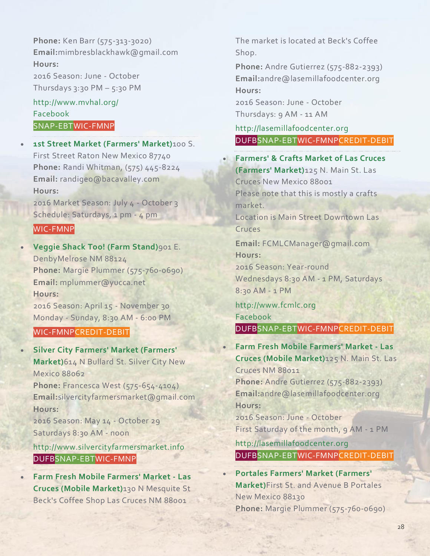**Phone:** Ken Barr (575-313-3020) **Email:**mimbresblackhawk@gmail.com **Hours:** 2016 Season: June - October Thursdays 3:30 PM  $-$  5:30 PM

<http://www.mvhal.org/> [Facebook](https://www.blogger.com/profile/10615871216882275606) SNAP-EBTWIC-FMNP

• **1st Street Market [\(Farmers'](http://farmersmarketsnm.org/find-a-market/?wpsl_view=list) Market)**100 S. First Street Raton New Mexico 87740 **Phone:** Randi Whitman, (575) 445-8224 **Email:** randigeo@bacavalley.com **Hours:**

2016 Market Season: July 4 - October 3 Schedule: Saturdays, 1 pm - 4 pm

# WIC-FMNP

• **[Veggie](http://farmersmarketsnm.org/find-a-market/?wpsl_view=list) Shack Too! (Farm Stand)**901 E. DenbyMelrose NM 88124 **Phone:** Margie Plummer (575-760-0690) **Email:** mplummer@yucca.net **Hours:** 2016 Season: April 15 - November 30

Monday - Sunday, 8:30 AM - 6:00 PM

### WIC-FMNPCREDIT-DEBIT

• **Silver City Farmers' Market [\(Farmers'](http://www.silvercityfarmersmarket.info/) [Market\)](http://www.silvercityfarmersmarket.info/)**614 N Bullard St. Silver City New Mexico 88062 **Phone:** Francesca West (575-654-4104) **Email:**silvercityfarmersmarket@gmail.com

**Hours:** 2016 Season: May 14 - October 29

Saturdays 8:30 AM - noon

[http://www.silvercityfarmersmarket.info](http://www.silvercityfarmersmarket.info/) DUFBSNAP-EBTWIC-FMNP

• **Farm Fresh Mobile [Farmers'](http://lasemillafoodcenter.org/) Market - Las Cruces (Mobile [Market\)](http://lasemillafoodcenter.org/)**130 N Mesquite St Beck's Coffee Shop Las Cruces NM 88001

The market is located at Beck's Coffee Shop.

**Phone:** Andre Gutierrez (575-882-2393) **Email:**andre@lasemillafoodcenter.org **Hours:**

2016 Season: June - October Thursdays: 9 AM - 11 AM

[http://lasemillafoodcenter.org](http://lasemillafoodcenter.org/) DUFBSNAP-EBTWIC-FMNPCREDIT-DEBIT

• **[Farmers'](http://www.fcmlc.org/) & Crafts Market of Las Cruces [\(Farmers'](http://www.fcmlc.org/) Market)**125 N. Main St. Las Cruces New Mexico 88001 Please note that this is mostly a crafts market. Location is Main Street Downtown Las Cruces **Email:** FCMLCManager@gmail.com **Hours:** 2016 Season: Year-round Wednesdays 8:30 AM - 1 PM, Saturdays 8:30 AM - 1 PM [http://www.fcmlc.org](http://www.fcmlc.org/) [Facebook](https://www.facebook.com/LasCrucesMarket) DUFBSNAP-EBTWIC-FMNPCREDIT-DEBIT • **Farm Fresh Mobile [Farmers'](http://lasemillafoodcenter.org/) Market - Las Cruces (Mobile [Market\)](http://lasemillafoodcenter.org/)**125 N. Main St. Las Cruces NM 88011 **Phone:** Andre Gutierrez (575-882-2393) **Email:**andre@lasemillafoodcenter.org **Hours:**

2016 Season: June - October First Saturday of the month, 9 AM - 1 PM

[http://lasemillafoodcenter.org](http://lasemillafoodcenter.org/) DUFBSNAP-EBTWIC-FMNPCREDIT-DEBIT

• **Portales Farmers' Market [\(Farmers'](http://farmersmarketsnm.org/find-a-market/?wpsl_view=list) [Market\)](http://farmersmarketsnm.org/find-a-market/?wpsl_view=list)**First St. and Avenue B Portales New Mexico 88130 **Phone:** Margie Plummer (575-760-0690)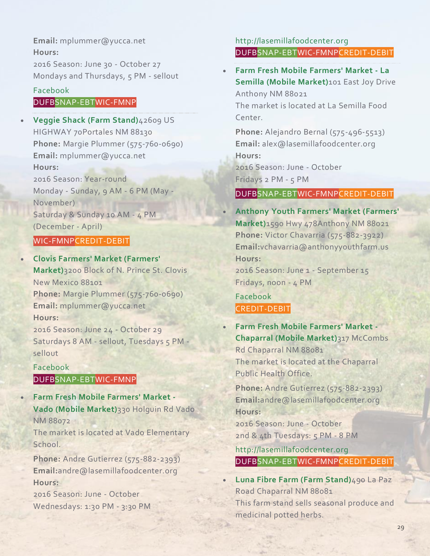# **Email:** mplummer@yucca.net **Hours:** 2016 Season: June 30 - October 27

Mondays and Thursdays, 5 PM - sellout

# [Facebook](https://www.facebook.com/pages/ClovisPortales-Farmers-Market/382290155222814)

# DUFBSNAP-EBTWIC-FMNP

• **[Veggie](http://farmersmarketsnm.org/find-a-market/?wpsl_view=list) Shack (Farm Stand)**42609 US HIGHWAY 70Portales NM 88130 **Phone:** Margie Plummer (575-760-0690) **Email:** mplummer@yucca.net **Hours:** 2016 Season: Year-round Monday - Sunday, 9 AM - 6 PM (May - November) Saturday & Sunday 10 AM - 4 PM (December - April)

# WIC-FMNPCREDIT-DEBIT

• **Clovis Farmers' Market [\(Farmers'](http://farmersmarketsnm.org/find-a-market/?wpsl_view=list) [Market\)](http://farmersmarketsnm.org/find-a-market/?wpsl_view=list)**3200 Block of N. Prince St. Clovis New Mexico 88101 **Phone:** Margie Plummer (575-760-0690) **Email:** mplummer@yucca.net **Hours:** 2016 Season: June 24 - October 29 Saturdays 8 AM - sellout, Tuesdays 5 PM sellout

# [Facebook](https://www.facebook.com/pages/ClovisPortales-Farmers-Market/382290155222814) DUFBSNAP-EBTWIC-FMNP

• **Farm Fresh Mobile [Farmers'](http://lasemillafoodcenter.org/) Market - Vado (Mobile [Market\)](http://lasemillafoodcenter.org/)**330 Holguin Rd Vado NM 88072

The market is located at Vado Elementary School.

**Phone:** Andre Gutierrez (575-882-2393) **Email:**andre@lasemillafoodcenter.org **Hours:**

2016 Season: June - October Wednesdays: 1:30 PM - 3:30 PM

# [http://lasemillafoodcenter.org](http://lasemillafoodcenter.org/) DUFBSNAP-EBTWIC-FMNPCREDIT-DEBIT

• **Farm Fresh Mobile [Farmers'](http://farmersmarketsnm.org/find-a-market/?wpsl_view=list) Market - La Semilla (Mobile [Market\)](http://farmersmarketsnm.org/find-a-market/?wpsl_view=list)**101 East Joy Drive Anthony NM 88021 The market is located at La Semilla Food Center.

**Phone:** Alejandro Bernal (575-496-5513) **Email:** alex@lasemillafoodcenter.org **Hours:** 2016 Season: June - October Fridays 2 PM - 5 PM

# DUFBSNAP-EBTWIC-FMNPCREDIT-DEBIT

• **Anthony Youth Farmers' Market [\(Farmers'](http://farmersmarketsnm.org/find-a-market/?wpsl_view=list) [Market\)](http://farmersmarketsnm.org/find-a-market/?wpsl_view=list)**1590 Hwy 478Anthony NM 88021 Phone: Victor Chavarria (575-882-3922) **Email:**vchavarria@anthonyyouthfarm.us **Hours:**

2016 Season: June 1 - September 15 Fridays, noon - 4 PM

# [Facebook](https://www.facebook.com/pages/Anthony-Youth-Farm/256105527882720?sk=timeline) CREDIT-DEBIT

• **Farm Fresh Mobile [Farmers'](http://lasemillafoodcenter.org/) Market - [Chaparral](http://lasemillafoodcenter.org/) (Mobile Market)**317 McCombs Rd Chaparral NM 88081 The market is located at the Chaparral Public Health Office.

**Phone:** Andre Gutierrez (575-882-2393) **Email:**andre@lasemillafoodcenter.org **Hours:**

2016 Season: June - October 2nd & 4th Tuesdays: 5 PM - 8 PM

[http://lasemillafoodcenter.org](http://lasemillafoodcenter.org/) DUFBSNAP-EBTWIC-FMNPCREDIT-DEBIT

• **Luna Fibre Farm (Farm [Stand\)](http://www.localharvest.org/luna-fibre-farm-M67985)**490 La Paz Road Chaparral NM 88081

This farm stand sells seasonal produce and medicinal potted herbs.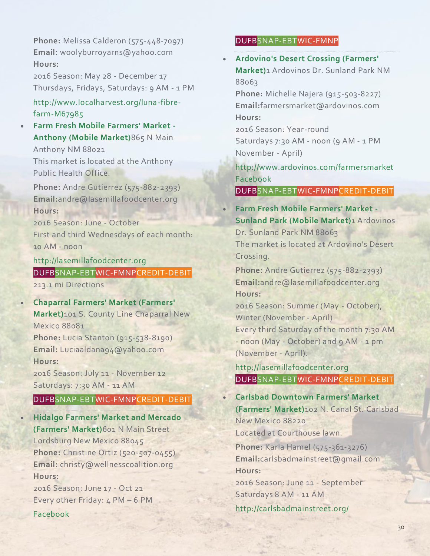**Phone:** Melissa Calderon (575-448-7097) **Email:** woolyburroyarns@yahoo.com **Hours:**

2016 Season: May 28 - December 17 Thursdays, Fridays, Saturdays: 9 AM - 1 PM

[http://www.localharvest.org/luna-fibre](http://www.localharvest.org/luna-fibre-farm-M67985)[farm-M67985](http://www.localharvest.org/luna-fibre-farm-M67985)

• **Farm Fresh Mobile [Farmers'](http://lasemillafoodcenter.org/) Market - [Anthony](http://lasemillafoodcenter.org/) (Mobile Market)**865 N Main Anthony NM 88021

This market is located at the Anthony Public Health Office.

**Phone:** Andre Gutierrez (575-882-2393) **Email:**andre@lasemillafoodcenter.org **Hours:**

2016 Season: June - October First and third Wednesdays of each month: 10 AM - noon

[http://lasemillafoodcenter.org](http://lasemillafoodcenter.org/) DUFBSNAP-EBTWIC-FMNPCREDIT-DEBIT 213.1 mi Directions

- **[Chaparral](http://farmersmarketsnm.org/find-a-market/?wpsl_view=list) Farmers' Market (Farmers' [Market\)](http://farmersmarketsnm.org/find-a-market/?wpsl_view=list)**101 S. County Line Chaparral New Mexico 88081 **Phone:** Lucia Stanton (915-538-8190) **Email:** Luciaaldana94@yahoo.com **Hours:** 2016 Season: July 11 - November 12 Saturdays: 7:30 AM - 11 AM DUFBSNAP-EBTWIC-FMNPCREDIT-DEBIT • **Hidalgo Farmers' Market and [Mercado](http://farmersmarketsnm.org/find-a-market/?wpsl_view=list)**
- **[\(Farmers'](http://farmersmarketsnm.org/find-a-market/?wpsl_view=list) Market)**601 N Main Street Lordsburg New Mexico 88045 **Phone:** Christine Ortiz (520-507-0455) **Email:** christy@wellnesscoalition.org **Hours:**

2016 Season: June 17 - Oct 21 Every other Friday: 4 PM – 6 PM [Facebook](https://www.facebook.com/hidalgofarmersmarketandmercado)

### DUFBSNAP-EBTWIC-FMNP

• **[Ardovino's](http://www.ardovinos.com/farmersmarket) Desert Crossing (Farmers' [Market\)](http://www.ardovinos.com/farmersmarket)**1 Ardovinos Dr. Sunland Park NM 88063

**Phone:** Michelle Najera (915-503-8227) **Email:**farmersmarket@ardovinos.com **Hours:**

2016 Season: Year-round Saturdays 7:30 AM - noon (9 AM - 1 PM November - April)

<http://www.ardovinos.com/farmersmarket> [Facebook](http://www.facebook.com/farmersmarketadc/?ref=hl)

DUFBSNAP-EBTWIC-FMNPCREDIT-DEBIT

• **Farm Fresh Mobile [Farmers'](http://lasemillafoodcenter.org/) Market - [Sunland](http://lasemillafoodcenter.org/) Park (Mobile Market)**1 Ardovinos Dr. Sunland Park NM 88063 The market is located at Ardovino's Desert Crossing.

**Phone:** Andre Gutierrez (575-882-2393) **Email:**andre@lasemillafoodcenter.org **Hours:**

2016 Season: Summer (May - October), Winter (November - April) Every third Saturday of the month 7:30 AM - noon (May - October) and 9 AM - 1 pm (November - April).

[http://lasemillafoodcenter.org](http://lasemillafoodcenter.org/) DUFBSNAP-EBTWIC-FMNPCREDIT-DEBIT

• **Carlsbad [Downtown](http://carlsbadmainstreet.org/) Farmers' Market [\(Farmers'](http://carlsbadmainstreet.org/) Market)**102 N. Canal St. Carlsbad New Mexico 88220 Located at Courthouse lawn.

**Phone:** Karla Hamel (575-361-3276) **Email:**carlsbadmainstreet@gmail.com **Hours:**

2016 Season: June 11 - September Saturdays 8 AM - 11 AM

<http://carlsbadmainstreet.org/>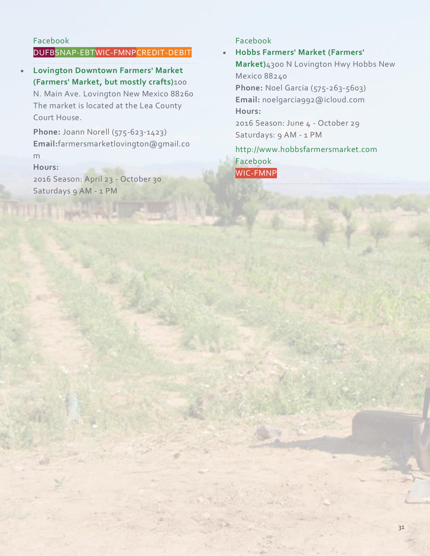# [Facebook](https://www.facebook.com/CarlsbadDowntownFarmersMarket)

# DUFBSNAP-EBTWIC-FMNPCREDIT-DEBIT

• **Lovington [Downtown](http://farmersmarketsnm.org/find-a-market/?wpsl_view=list) Farmers' Market [\(Farmers'](http://farmersmarketsnm.org/find-a-market/?wpsl_view=list) Market, but mostly crafts)**100 N. Main Ave. Lovington New Mexico 88260 The market is located at the Lea County Court House.

**Phone:** Joann Norell (575-623-1423) **Email:**farmersmarketlovington@gmail.co m

#### **Hours:**

2016 Season: April 23 - October 30 Saturdays 9 AM - 1 PM

### [Facebook](https://www.facebook.com/lovingtonfarmersmarket)

# • **Hobbs Farmers' Market [\(Farmers'](http://www.hobbsfarmersmarket.com/)**

**[Market\)](http://www.hobbsfarmersmarket.com/)**4300 N Lovington Hwy Hobbs New Mexico 88240 **Phone:** Noel Garcia (575-263-5603) **Email:** noelgarcia992@icloud.com **Hours:** 2016 Season: June 4 - October 29 Saturdays: 9 AM - 1 PM [http://www.hobbsfarmersmarket.com](http://www.hobbsfarmersmarket.com/) [Facebook](https://www.facebook.com/HobbsFarmersMarket)

WIC-FMNP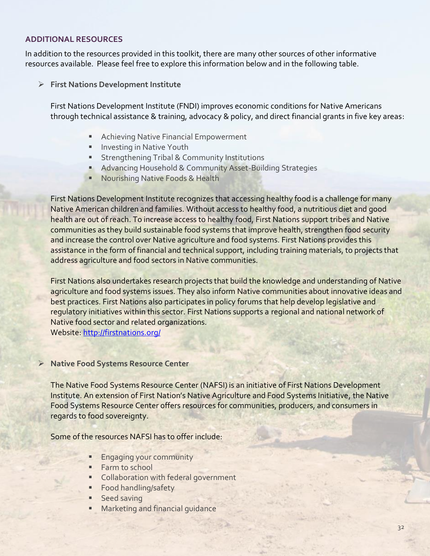#### **ADDITIONAL RESOURCES**

In addition to the resources provided in this toolkit, there are many other sources of other informative resources available. Please feel free to explore this information below and in the following table.

➢ **First Nations Development Institute**

First Nations Development Institute (FNDI) improves economic conditions for Native Americans through technical assistance & training, advocacy & policy, and direct financial grants in five key areas:

- Achieving Native Financial Empowerment
- **·** Investing in Native Youth
- **E** Strengthening Tribal & Community Institutions
- Advancing Household & Community Asset-Building Strategies
- Nourishing Native Foods & Health

First Nations Development Institute recognizes that accessing healthy food is a challenge for many Native American children and families. Without access to healthy food, a nutritious diet and good health are out of reach. To increase access to healthy food, First Nations support tribes and Native communities as they build sustainable food systems that improve health, strengthen food security and increase the control over Native agriculture and food systems. First Nations provides this assistance in the form of financial and technical support, including training materials, to projects that address agriculture and food sectors in Native communities.

First Nations also undertakes research projects that build the knowledge and understanding of Native agriculture and food systems issues. They also inform Native communities about innovative ideas and best practices. First Nations also participates in policy forums that help develop legislative and regulatory initiatives within this sector. First Nations supports a regional and national network of Native food sector and related organizations.

Website:<http://firstnations.org/>

#### ➢ **Native Food Systems Resource Center**

The Native Food Systems Resource Center (NAFSI) is an initiative of First Nations Development Institute. An extension of First Nation's Native Agriculture and Food Systems Initiative, the Native Food Systems Resource Center offers resources for communities, producers, and consumers in regards to food sovereignty.

Some of the resources NAFSI has to offer include:

- **Engaging your community**
- Farm to school
- **EX Collaboration with federal government**
- **Example 1** Food handling/safety
- Seed saving
	- Marketing and financial guidance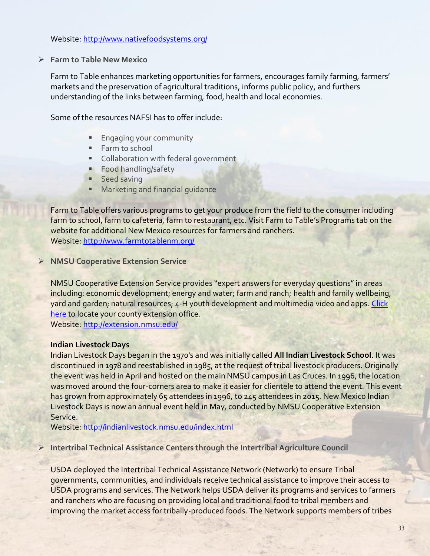#### Website:<http://www.nativefoodsystems.org/>

➢ **Farm to Table New Mexico**

Farm to Table enhances marketing opportunities for farmers, encourages family farming, farmers' markets and the preservation of agricultural traditions, informs public policy, and furthers understanding of the links between farming, food, health and local economies.

Some of the resources NAFSI has to offer include:

- **Engaging your community**
- Farm to school
- Collaboration with federal government
- Food handling/safety
- **■** Seed saving
- Marketing and financial quidance

Farm to Table offers various programs to get your produce from the field to the consumer including farm to school, farm to cafeteria, farm to restaurant, etc. Visit Farm to Table's Programs tab on the website for additional New Mexico resources for farmers and ranchers. Website:<http://www.farmtotablenm.org/>

➢ **NMSU Cooperative Extension Service**

NMSU Cooperative Extension Service provides "expert answers for everyday questions" in areas including: economic development; energy and water; farm and ranch; health and family wellbeing, yard and garden; natural resources; 4-H youth development and multimedia video and apps. [Click](http://aces.nmsu.edu/county/)  [here](http://aces.nmsu.edu/county/) to locate your county extension office. Website:<http://extension.nmsu.edu/>

#### **Indian Livestock Days**

Indian Livestock Days began in the 1970's and was initially called **All Indian Livestock School**. It was discontinued in 1978 and reestablished in 1985, at the request of tribal livestock producers. Originally the event was held in April and hosted on the main NMSU campus in Las Cruces. In 1996, the location was moved around the four-corners area to make it easier for clientele to attend the event. This event has grown from approximately 65 attendees in 1996, to 245 attendees in 2015. New Mexico Indian Livestock Days is now an annual event held in May, conducted by NMSU Cooperative Extension Service.

Website:<http://indianlivestock.nmsu.edu/index.html>

### ➢ **Intertribal Technical Assistance Centers through the Intertribal Agriculture Council**

USDA deployed the Intertribal Technical Assistance Network (Network) to ensure Tribal governments, communities, and individuals receive technical assistance to improve their access to USDA programs and services. The Network helps USDA deliver its programs and services to farmers and ranchers who are focusing on providing local and traditional food to tribal members and improving the market access for tribally-produced foods. The Network supports members of tribes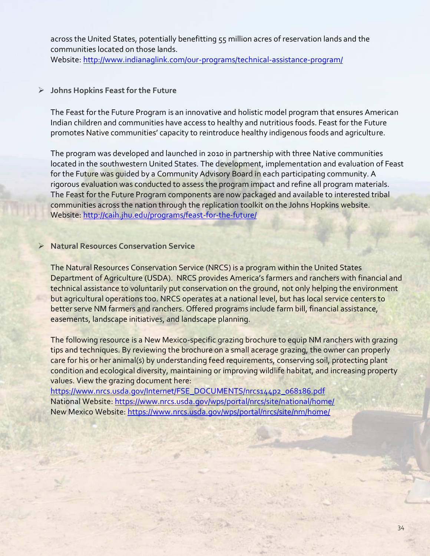across the United States, potentially benefitting 55 million acres of reservation lands and the communities located on those lands.

Website:<http://www.indianaglink.com/our-programs/technical-assistance-program/>

# ➢ **Johns Hopkins Feast for the Future**

The Feast for the Future Program is an innovative and holistic model program that ensures American Indian children and communities have access to healthy and nutritious foods. Feast for the Future promotes Native communities' capacity to reintroduce healthy indigenous foods and agriculture.

The program was developed and launched in 2010 in partnership with three Native communities located in the southwestern United States. The development, implementation and evaluation of Feast for the Future was quided by a Community Advisory Board in each participating community. A rigorous evaluation was conducted to assess the program impact and refine all program materials. The Feast for the Future Program components are now packaged and available to interested tribal communities across the nation through the replication toolkit on the Johns Hopkins website. Website:<http://caih.jhu.edu/programs/feast-for-the-future/>

# ➢ **Natural Resources Conservation Service**

The Natural Resources Conservation Service (NRCS) is a program within the United States Department of Agriculture (USDA). NRCS provides America's farmers and ranchers with financial and technical assistance to voluntarily put conservation on the ground, not only helping the environment but agricultural operations too. NRCS operates at a national level, but has local service centers to better serve NM farmers and ranchers. Offered programs include farm bill, financial assistance, easements, landscape initiatives, and landscape planning.

The following resource is a New Mexico-specific grazing brochure to equip NM ranchers with grazing tips and techniques. By reviewing the brochure on a small acerage grazing, the owner can properly care for his or her animal(s) by understanding feed requirements, conserving soil, protecting plant condition and ecological diversity, maintaining or improving wildlife habitat, and increasing property values. View the grazing document here:

[https://www.nrcs.usda.gov/Internet/FSE\\_DOCUMENTS/nrcs144p2\\_068186.pdf](https://www.nrcs.usda.gov/Internet/FSE_DOCUMENTS/nrcs144p2_068186.pdf) National Website[: https://www.nrcs.usda.gov/wps/portal/nrcs/site/national/home/](https://www.nrcs.usda.gov/wps/portal/nrcs/site/national/home/) New Mexico Website[: https://www.nrcs.usda.gov/wps/portal/nrcs/site/nm/home/](https://www.nrcs.usda.gov/wps/portal/nrcs/site/nm/home/)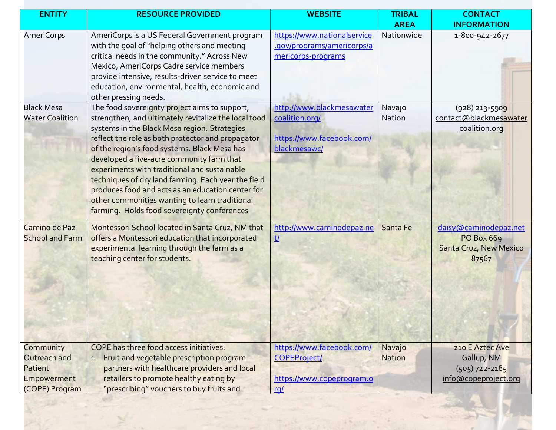| <b>ENTITY</b>          | <b>RESOURCE PROVIDED</b>                             | <b>WEBSITE</b>              | <b>TRIBAL</b> | <b>CONTACT</b>         |
|------------------------|------------------------------------------------------|-----------------------------|---------------|------------------------|
|                        |                                                      |                             | <b>AREA</b>   | <b>INFORMATION</b>     |
| <b>AmeriCorps</b>      | AmeriCorps is a US Federal Government program        | https://www.nationalservice | Nationwide    | 1-800-942-2677         |
|                        | with the goal of "helping others and meeting         | .gov/programs/americorps/a  |               |                        |
|                        | critical needs in the community." Across New         | mericorps-programs          |               |                        |
|                        | Mexico, AmeriCorps Cadre service members             |                             |               |                        |
|                        | provide intensive, results-driven service to meet    |                             |               |                        |
|                        | education, environmental, health, economic and       |                             |               |                        |
|                        | other pressing needs.                                |                             |               |                        |
| <b>Black Mesa</b>      | The food sovereignty project aims to support,        | http://www.blackmesawater   | Navajo        | $(928)$ 213-5909       |
| <b>Water Coalition</b> | strengthen, and ultimately revitalize the local food | coalition.org/              | Nation        | contact@blackmesawater |
|                        | systems in the Black Mesa region. Strategies         |                             |               | coalition.org          |
|                        | reflect the role as both protector and propagator    | https://www.facebook.com/   |               |                        |
|                        | of the region's food systems. Black Mesa has         | blackmesawc/                |               |                        |
|                        | developed a five-acre community farm that            |                             |               |                        |
|                        | experiments with traditional and sustainable         |                             |               |                        |
|                        | techniques of dry land farming. Each year the field  |                             |               |                        |
|                        | produces food and acts as an education center for    |                             |               |                        |
|                        | other communities wanting to learn traditional       |                             |               |                        |
|                        | farming. Holds food sovereignty conferences          |                             |               |                        |
| Camino de Paz          | Montessori School located in Santa Cruz, NM that     | http://www.caminodepaz.ne   | Santa Fe      | daisy@caminodepaz.net  |
| <b>School and Farm</b> | offers a Montessori education that incorporated      | <u>t/</u>                   |               | <b>PO Box 669</b>      |
|                        | experimental learning through the farm as a          |                             |               | Santa Cruz, New Mexico |
|                        | teaching center for students.                        |                             |               | 87567                  |
|                        |                                                      |                             |               |                        |
|                        |                                                      |                             |               |                        |
|                        |                                                      |                             |               |                        |
|                        |                                                      |                             |               |                        |
|                        |                                                      |                             |               |                        |
|                        |                                                      |                             |               |                        |
|                        |                                                      |                             |               |                        |
|                        |                                                      |                             |               |                        |
| Community              | <b>COPE</b> has three food access initiatives:       | https://www.facebook.com/   | Navajo        | 210 E Aztec Ave        |
| Outreach and           | 1. Fruit and vegetable prescription program          | <b>COPEProject/</b>         | <b>Nation</b> | Gallup, NM             |
| Patient                | partners with healthcare providers and local         |                             |               | $(505)$ 722-2185       |
| <b>Empowerment</b>     | retailers to promote healthy eating by               | https://www.copeprogram.o   |               | info@copeproject.org   |
| (COPE) Program         | "prescribing" vouchers to buy fruits and             | <u>ral</u>                  |               |                        |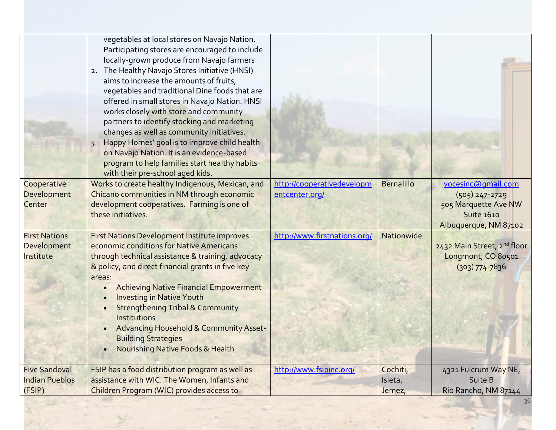| Cooperative<br>Development<br>Center                    | vegetables at local stores on Navajo Nation.<br>Participating stores are encouraged to include<br>locally-grown produce from Navajo farmers<br>2. The Healthy Navajo Stores Initiative (HNSI)<br>aims to increase the amounts of fruits,<br>vegetables and traditional Dine foods that are<br>offered in small stores in Navajo Nation. HNSI<br>works closely with store and community<br>partners to identify stocking and marketing<br>changes as well as community initiatives.<br>Happy Homes' goal is to improve child health<br>on Navajo Nation. It is an evidence-based<br>program to help families start healthy habits<br>with their pre-school aged kids.<br>Works to create healthy Indigenous, Mexican, and<br>Chicano communities in NM through economic<br>development cooperatives. Farming is one of | http://cooperativedevelopm<br>entcenter.org/ | <b>Bernalillo</b>             | vocesinc@qmail.com<br>$(505)$ 247-2729<br>505 Marquette Ave NW          |
|---------------------------------------------------------|-----------------------------------------------------------------------------------------------------------------------------------------------------------------------------------------------------------------------------------------------------------------------------------------------------------------------------------------------------------------------------------------------------------------------------------------------------------------------------------------------------------------------------------------------------------------------------------------------------------------------------------------------------------------------------------------------------------------------------------------------------------------------------------------------------------------------|----------------------------------------------|-------------------------------|-------------------------------------------------------------------------|
|                                                         | these initiatives.                                                                                                                                                                                                                                                                                                                                                                                                                                                                                                                                                                                                                                                                                                                                                                                                    |                                              |                               | <b>Suite 1610</b><br>Albuquerque, NM 87102                              |
| <b>First Nations</b><br>Development<br>Institute        | <b>First Nations Development Institute improves</b><br>economic conditions for Native Americans<br>through technical assistance & training, advocacy<br>& policy, and direct financial grants in five key<br>areas:<br><b>Achieving Native Financial Empowerment</b><br>$\bullet$<br><b>Investing in Native Youth</b><br>$\bullet$<br><b>Strengthening Tribal &amp; Community</b><br>Institutions<br>Advancing Household & Community Asset-<br><b>Building Strategies</b><br>Nourishing Native Foods & Health<br>$\bullet$                                                                                                                                                                                                                                                                                            | http://www.firstnations.org/                 | Nationwide                    | 2432 Main Street, 2nd floor<br>Longmont, CO 80501<br>$(303) 774 - 7836$ |
| <b>Five Sandoval</b><br><b>Indian Pueblos</b><br>(FSIP) | FSIP has a food distribution program as well as<br>assistance with WIC. The Women, Infants and<br>Children Program (WIC) provides access to                                                                                                                                                                                                                                                                                                                                                                                                                                                                                                                                                                                                                                                                           | http://www.fsipinc.org/                      | Cochiti,<br>Isleta,<br>Jemez, | 4321 Fulcrum Way NE,<br>Suite B<br>Rio Rancho, NM 87144                 |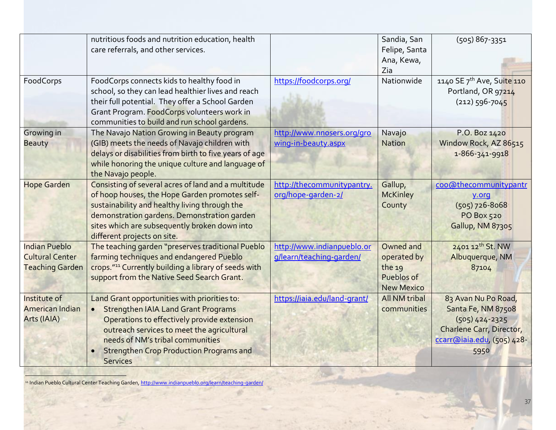|                                                                          | nutritious foods and nutrition education, health<br>care referrals, and other services.                                                                                                                                                                                                                       |                                                        | Sandia, San<br>Felipe, Santa<br>Ana, Kewa,<br>Zia                     | $(505)867-3351$                                                                                                                 |
|--------------------------------------------------------------------------|---------------------------------------------------------------------------------------------------------------------------------------------------------------------------------------------------------------------------------------------------------------------------------------------------------------|--------------------------------------------------------|-----------------------------------------------------------------------|---------------------------------------------------------------------------------------------------------------------------------|
| FoodCorps                                                                | FoodCorps connects kids to healthy food in<br>school, so they can lead healthier lives and reach<br>their full potential. They offer a School Garden<br>Grant Program. FoodCorps volunteers work in<br>communities to build and run school gardens.                                                           | https://foodcorps.org/                                 | Nationwide                                                            | 1140 SE 7 <sup>th</sup> Ave, Suite 110<br>Portland, OR 97214<br>$(212)$ 596-7045                                                |
| Growing in<br><b>Beauty</b>                                              | The Navajo Nation Growing in Beauty program<br>(GIB) meets the needs of Navajo children with<br>delays or disabilities from birth to five years of age<br>while honoring the unique culture and language of<br>the Navajo people.                                                                             | http://www.nnosers.org/gro<br>wing-in-beauty.aspx      | Navajo<br><b>Nation</b>                                               | P.O. Boz 1420<br>Window Rock, AZ 86515<br>1-866-341-9918                                                                        |
| <b>Hope Garden</b>                                                       | Consisting of several acres of land and a multitude<br>of hoop houses, the Hope Garden promotes self-<br>sustainability and healthy living through the<br>demonstration gardens. Demonstration garden<br>sites which are subsequently broken down into<br>different projects on site.                         | http://thecommunitypantry.<br>org/hope-garden-2/       | Gallup,<br><b>McKinley</b><br>County                                  | coo@thecommunitypantr<br>y.org<br>$(505)$ 726-8068<br><b>PO Box 520</b><br>Gallup, NM 87305                                     |
| <b>Indian Pueblo</b><br><b>Cultural Center</b><br><b>Teaching Garden</b> | The teaching garden "preserves traditional Pueblo<br>farming techniques and endangered Pueblo<br>crops." <sup>11</sup> Currently building a library of seeds with<br>support from the Native Seed Search Grant.                                                                                               | http://www.indianpueblo.or<br>g/learn/teaching-garden/ | Owned and<br>operated by<br>the 19<br>Pueblos of<br><b>New Mexico</b> | 2401 12th St. NW<br>Albuquerque, NM<br>87104                                                                                    |
| Institute of<br><b>American Indian</b><br>Arts (IAIA)                    | Land Grant opportunities with priorities to:<br><b>Strengthen IAIA Land Grant Programs</b><br>$\bullet$<br>Operations to effectively provide extension<br>outreach services to meet the agricultural<br>needs of NM's tribal communities<br><b>Strengthen Crop Production Programs and</b><br><b>Services</b> | https://iaia.edu/land-grant/                           | All NM tribal<br>communities                                          | 83 Avan Nu Po Road,<br>Santa Fe, NM 87508<br>$(505)$ 424-2325<br>Charlene Carr, Director,<br>ccarr@iaia.edu, (505) 428-<br>5950 |

l <sup>11</sup> Indian Pueblo Cultural Center Teaching Garden[, http://www.indianpueblo.org/learn/teaching-garden/](http://www.indianpueblo.org/learn/teaching-garden/)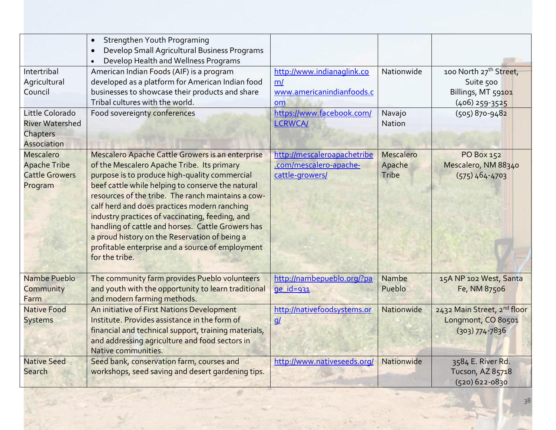|                                                                             | Strengthen Youth Programing<br>$\bullet$<br>Develop Small Agricultural Business Programs<br>$\bullet$<br>Develop Health and Wellness Programs<br>$\bullet$                                                                                                                                                                                                                                                                                                                                                                                |                                                                                                  |                              |                                                                                           |
|-----------------------------------------------------------------------------|-------------------------------------------------------------------------------------------------------------------------------------------------------------------------------------------------------------------------------------------------------------------------------------------------------------------------------------------------------------------------------------------------------------------------------------------------------------------------------------------------------------------------------------------|--------------------------------------------------------------------------------------------------|------------------------------|-------------------------------------------------------------------------------------------|
| Intertribal<br>Agricultural<br>Council<br>Little Colorado                   | American Indian Foods (AIF) is a program<br>developed as a platform for American Indian food<br>businesses to showcase their products and share<br>Tribal cultures with the world.                                                                                                                                                                                                                                                                                                                                                        | http://www.indianaglink.co<br>m/<br>www.americanindianfoods.c<br>om<br>https://www.facebook.com/ | Nationwide                   | 100 North 27 <sup>th</sup> Street,<br>Suite 500<br>Billings, MT 59101<br>$(406)$ 259-3525 |
| <b>River Watershed</b><br>Chapters<br>Association                           | Food sovereignty conferences                                                                                                                                                                                                                                                                                                                                                                                                                                                                                                              | <b>LCRWCA/</b>                                                                                   | Navajo<br>Nation             | $(505) 870 - 9482$                                                                        |
| <b>Mescalero</b><br><b>Apache Tribe</b><br><b>Cattle Growers</b><br>Program | Mescalero Apache Cattle Growers is an enterprise<br>of the Mescalero Apache Tribe. Its primary<br>purpose is to produce high-quality commercial<br>beef cattle while helping to conserve the natural<br>resources of the tribe. The ranch maintains a cow-<br>calf herd and does practices modern ranching<br>industry practices of vaccinating, feeding, and<br>handling of cattle and horses. Cattle Growers has<br>a proud history on the Reservation of being a<br>profitable enterprise and a source of employment<br>for the tribe. | http://mescaleroapachetribe<br>.com/mescalero-apache-<br>cattle-growers/                         | Mescalero<br>Apache<br>Tribe | PO Box 152<br>Mescalero, NM 88340<br>$(575)464 - 4703$                                    |
| Nambe Pueblo<br>Community<br>Farm                                           | The community farm provides Pueblo volunteers<br>and youth with the opportunity to learn traditional<br>and modern farming methods.                                                                                                                                                                                                                                                                                                                                                                                                       | http://nambepueblo.org/?pa<br>$ge_id=931$                                                        | Nambe<br>Pueblo              | 15A NP 102 West, Santa<br>Fe, NM 87506                                                    |
| <b>Native Food</b><br><b>Systems</b>                                        | An initiative of First Nations Development<br>Institute. Provides assistance in the form of<br>financial and technical support, training materials,<br>and addressing agriculture and food sectors in<br>Native communities.                                                                                                                                                                                                                                                                                                              | http://nativefoodsystems.or<br>q                                                                 | Nationwide                   | 2432 Main Street, 2nd floor<br>Longmont, CO 80501<br>$(303)$ 774-7836                     |
| <b>Native Seed</b><br>Search                                                | Seed bank, conservation farm, courses and<br>workshops, seed saving and desert gardening tips.                                                                                                                                                                                                                                                                                                                                                                                                                                            | http://www.nativeseeds.org/                                                                      | Nationwide                   | 3584 E. River Rd.<br>Tucson, AZ 85718<br>$(520)$ 622-0830                                 |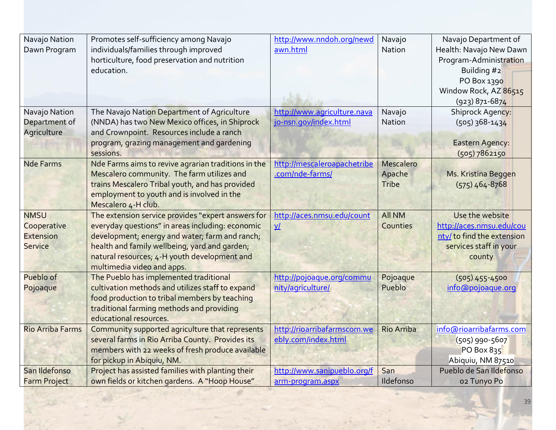| Navajo Nation<br>Dawn Program                                    | Promotes self-sufficiency among Navajo<br>individuals/families through improved<br>horticulture, food preservation and nutrition<br>education.                                                                                                                                          | http://www.nndoh.org/newd<br>awn.html                | Navajo<br>Nation             | Navajo Department of<br>Health: Navajo New Dawn<br>Program-Administration<br>Building #2<br>PO Box 1390<br>Window Rock, AZ 86515<br>$(923)$ 871-6874 |
|------------------------------------------------------------------|-----------------------------------------------------------------------------------------------------------------------------------------------------------------------------------------------------------------------------------------------------------------------------------------|------------------------------------------------------|------------------------------|------------------------------------------------------------------------------------------------------------------------------------------------------|
| Navajo Nation<br>Department of<br>Agriculture                    | The Navajo Nation Department of Agriculture<br>(NNDA) has two New Mexico offices, in Shiprock<br>and Crownpoint. Resources include a ranch<br>program, grazing management and gardening<br>sessions.                                                                                    | http://www.agriculture.nava<br>jo-nsn.gov/index.html | Navajo<br>Nation             | Shiprock Agency:<br>$(505)$ 368-1434<br><b>Eastern Agency:</b><br>(505) 7862150                                                                      |
| <b>Nde Farms</b>                                                 | Nde Farms aims to revive agrarian traditions in the<br>Mescalero community. The farm utilizes and<br>trains Mescalero Tribal youth, and has provided<br>employment to youth and is involved in the<br>Mescalero 4-H club.                                                               | http://mescaleroapachetribe<br>.com/nde-farms/       | Mescalero<br>Apache<br>Tribe | Ms. Kristina Beggen<br>$(575)$ 464-8768                                                                                                              |
| <b>NMSU</b><br>Cooperative<br><b>Extension</b><br><b>Service</b> | The extension service provides "expert answers for<br>everyday questions" in areas including: economic<br>development; energy and water; farm and ranch;<br>health and family wellbeing, yard and garden;<br>natural resources; 4-H youth development and<br>multimedia video and apps. | http://aces.nmsu.edu/count<br>$\underline{v}$        | <b>All NM</b><br>Counties    | Use the website<br>http://aces.nmsu.edu/cou<br>nty/ to find the extension<br>services staff in your<br>county                                        |
| Pueblo of<br>Pojoaque                                            | The Pueblo has implemented traditional<br>cultivation methods and utilizes staff to expand<br>food production to tribal members by teaching<br>traditional farming methods and providing<br>educational resources.                                                                      | http://pojoaque.org/commu<br>nity/agriculture/       | Pojoaque<br>Pueblo           | $(505)$ 455-4500<br>info@pojoaque.org                                                                                                                |
| <b>Rio Arriba Farms</b>                                          | Community supported agriculture that represents<br>several farms in Rio Arriba County. Provides its<br>members with 22 weeks of fresh produce available<br>for pickup in Abiquiu, NM.                                                                                                   | http://rioarribafarmscom.we<br>ebly.com/index.html   | <b>Rio Arriba</b>            | info@rioarribafarms.com<br>$(505)$ 990-5607<br>PO Box 835<br>Abiquiu, NM 87510                                                                       |
| San Ildefonso                                                    | Project has assisted families with planting their                                                                                                                                                                                                                                       | http://www.sanipueblo.org/f                          | San                          | Pueblo de San Ildefonso                                                                                                                              |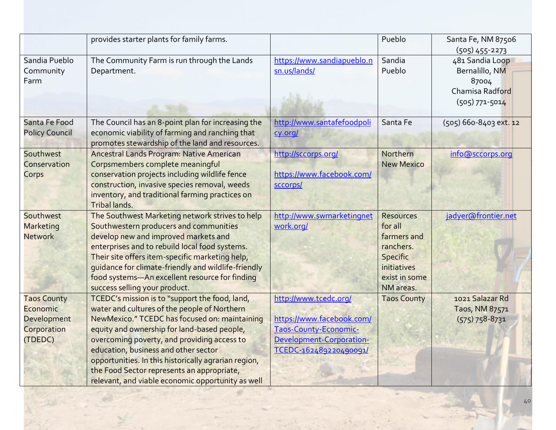|                                                                         | provides starter plants for family farms.                                                                                                                                                                                                                                                                                                                                                                                                        |                                                                                                                                   | Pueblo                                                                                                                  | Santa Fe, NM 87506<br>$(505)$ 455-2273                                              |
|-------------------------------------------------------------------------|--------------------------------------------------------------------------------------------------------------------------------------------------------------------------------------------------------------------------------------------------------------------------------------------------------------------------------------------------------------------------------------------------------------------------------------------------|-----------------------------------------------------------------------------------------------------------------------------------|-------------------------------------------------------------------------------------------------------------------------|-------------------------------------------------------------------------------------|
| Sandia Pueblo<br>Community<br>Farm                                      | The Community Farm is run through the Lands<br>Department.                                                                                                                                                                                                                                                                                                                                                                                       | https://www.sandiapueblo.n<br>sn.us/lands/                                                                                        | Sandia<br>Pueblo                                                                                                        | 481 Sandia Loop<br>Bernalillo, NM<br>87004<br>Chamisa Radford<br>$(505) 771 - 5014$ |
| Santa Fe Food<br><b>Policy Council</b>                                  | The Council has an 8-point plan for increasing the<br>economic viability of farming and ranching that<br>promotes stewardship of the land and resources.                                                                                                                                                                                                                                                                                         | http://www.santafefoodpoli<br>cy.org/                                                                                             | Santa Fe                                                                                                                | (505) 660-8403 ext. 12                                                              |
| Southwest<br>Conservation<br>Corps                                      | Ancestral Lands Program: Native American<br>Corpsmembers complete meaningful<br>conservation projects including wildlife fence<br>construction, invasive species removal, weeds<br>inventory, and traditional farming practices on<br><b>Tribal lands.</b>                                                                                                                                                                                       | http://sccorps.org/<br>https://www.facebook.com/<br>sccorps/                                                                      | Northern<br><b>New Mexico</b>                                                                                           | info@sccorps.org                                                                    |
| Southwest<br>Marketing<br><b>Network</b>                                | The Southwest Marketing network strives to help<br>Southwestern producers and communities<br>develop new and improved markets and<br>enterprises and to rebuild local food systems.<br>Their site offers item-specific marketing help,<br>guidance for climate-friendly and wildlife-friendly<br>food systems-An excellent resource for finding<br>success selling your product.                                                                 | http://www.swmarketingnet<br>work.org/                                                                                            | <b>Resources</b><br>for all<br>farmers and<br>ranchers.<br><b>Specific</b><br>initiatives<br>exist in some<br>NM areas. | jadyer@frontier.net                                                                 |
| <b>Taos County</b><br>Economic<br>Development<br>Corporation<br>(TDEDC) | TCEDC's mission is to "support the food, land,<br>water and cultures of the people of Northern<br>NewMexico." TCEDC has focused on: maintaining<br>equity and ownership for land-based people,<br>overcoming poverty, and providing access to<br>education, business and other sector<br>opportunities. In this historically agrarian region,<br>the Food Sector represents an appropriate,<br>relevant, and viable economic opportunity as well | http://www.tcedc.org/<br>https://www.facebook.com/<br>Taos-County-Economic-<br>Development-Corporation-<br>TCEDC-162489220490091/ | <b>Taos County</b>                                                                                                      | 1021 Salazar Rd<br>Taos, NM 87571<br>$(575) 758 - 8731$                             |